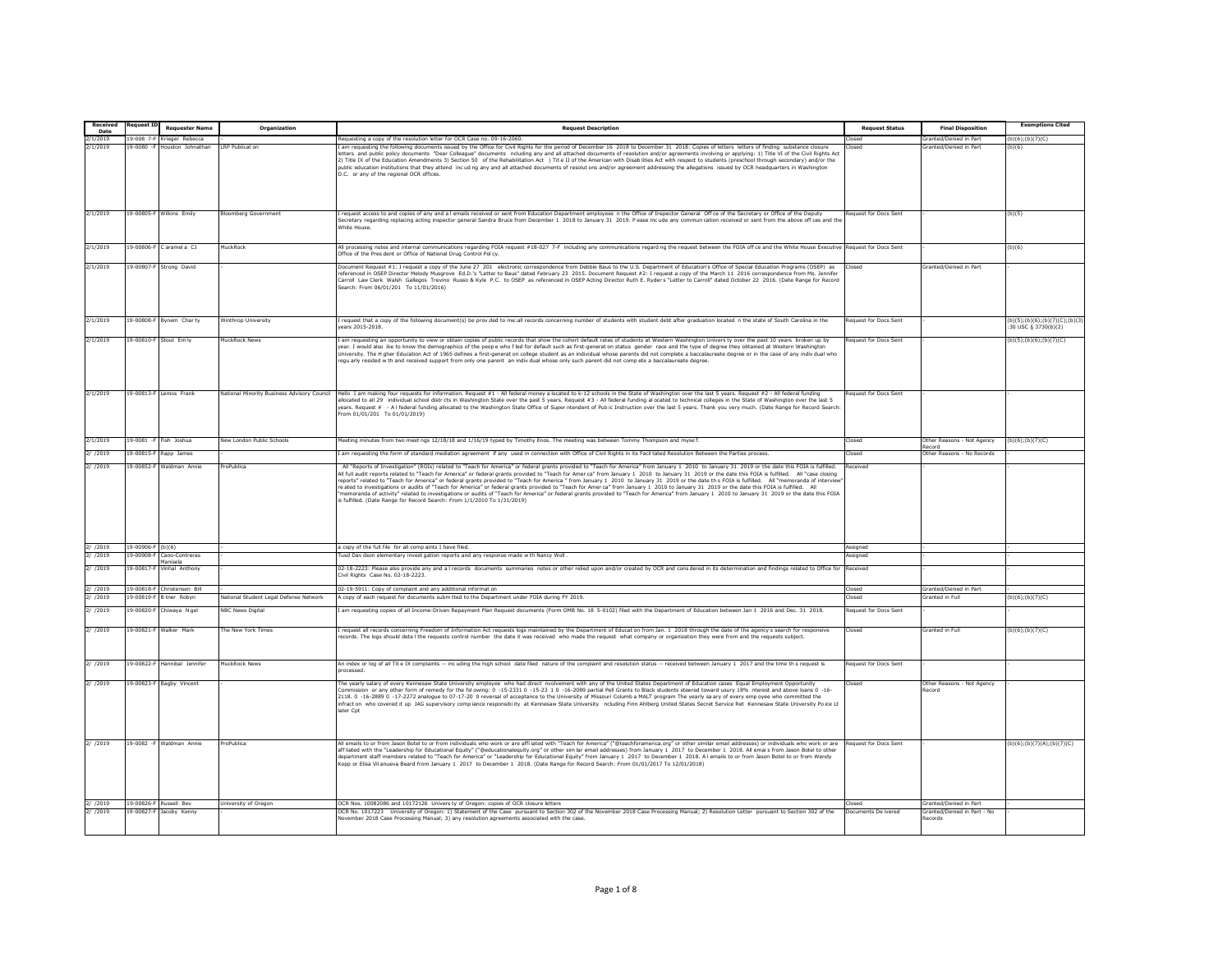| Received     | Request I       |                          |                                             |                                                                                                                                                                                                                                                                                                                                                                                                                                                                                                                                                                                                                                                                                                                                                                                                                                                                                         |                              |                                      | <b>Exemptions Cited</b>                               |
|--------------|-----------------|--------------------------|---------------------------------------------|-----------------------------------------------------------------------------------------------------------------------------------------------------------------------------------------------------------------------------------------------------------------------------------------------------------------------------------------------------------------------------------------------------------------------------------------------------------------------------------------------------------------------------------------------------------------------------------------------------------------------------------------------------------------------------------------------------------------------------------------------------------------------------------------------------------------------------------------------------------------------------------------|------------------------------|--------------------------------------|-------------------------------------------------------|
| Date         |                 | <b>Requester Name</b>    | Organization                                | <b>Request Description</b>                                                                                                                                                                                                                                                                                                                                                                                                                                                                                                                                                                                                                                                                                                                                                                                                                                                              | <b>Request Status</b>        | <b>Final Disposition</b>             |                                                       |
| 2/1/2019     | $9 - 008$ 7     | rieger Rebecc            |                                             | equesting a copy of the resolution letter for OCR Case no. 09-16-2060                                                                                                                                                                                                                                                                                                                                                                                                                                                                                                                                                                                                                                                                                                                                                                                                                   |                              | ranted/Denied in Part                | (b)(6):(b)(7)(C)                                      |
| 2/1/2019     | $9 - 0080 - 8$  | uston Johnathan          | LRP Publicat or                             | am requesting the following documents issued by the Office for Civil Rights for the period of December 16 2018 to December 31 2018: Copies of letters letters of finding substance closu<br>etters and public policy documents "Dear Colleague" documents ncluding any and all attached documents of resolution and/or agreements involving or applying: 1) Title VI of the Civil Rights Act<br>2) Title IX of the Education Amendments 3) Section 50 of the Rehabilitation Act ) Tite II of the American with Disab lities Act with respect to students (preschool through secondary) and/or the<br>oublic education institutions that they attend incuding any and all attached documents of resolutions and/or agreement addressing the allegations issued by OCR headquarters in Washington<br>D.C. or any of the regional OCR offices.                                             |                              | ranted/Denied in Part                | (b)(6)                                                |
| 2/1/2019     |                 | 19-00805-F Wilkins Emily | oomberg Government                          | request access to and copies of any and a I emails received or sent from Education Department employees n the Office of Inspector General Off ce of the Secretary or Office of the Deputy                                                                                                                                                                                                                                                                                                                                                                                                                                                                                                                                                                                                                                                                                               | equest for Docs Sent         |                                      | (b)(5)                                                |
|              |                 |                          |                                             | Secretary regarding replacing acting inspector general Sandra Bruce from December 1 2018 to January 31 2019. Pease incude any commun cation received or sent from the above off ces and th<br>White House.                                                                                                                                                                                                                                                                                                                                                                                                                                                                                                                                                                                                                                                                              |                              |                                      |                                                       |
| 2/1/2019     | 19-00806-F      | Caramela <sub>CJ</sub>   | <b>AuckRock</b>                             | All processing notes and internal communications regarding FOIA request #18-027 7-F including any communications regard ng the request between the FOIA off ce and the White House Executive<br>Office of the Pres dent or Office of National Drug Control Pol cv.                                                                                                                                                                                                                                                                                                                                                                                                                                                                                                                                                                                                                      | Request for Docs Sent        |                                      | (b)(6)                                                |
| 2/1/2019     | 19-00807        | Strong David             |                                             | Document Request #1: I request a copy of the June 27 201 electronic correspondence from Debbie Baus to the U.S. Department of Education's Office of Special Education Programs (OSEP) as<br>eferenced in OSEP Director Melody Musgrove Ed.D.'s "Letter to Baus" dated February 23 2015. Document Request #2: I request a copy of the March 11 2016 correspondence from Ms. Jennife<br>Carroll Law Clerk Walsh Gallegos Trevino Russo & Kyle P.C. to OSEP as referenced in OSEP Acting Director Ruth E. Ryders "Letter to Carroll" dated October 22 2016. (Date Range for Record<br>Search: From 06/01/201 To 11/01/2016)                                                                                                                                                                                                                                                                |                              | <b>Sranted/Denied in Part</b>        |                                                       |
| 2/1/2019     |                 | 19-00808-F Bynem Charty  | <b>Winthrop University</b>                  | I request that a copy of the following document(s) be proy ded to me;all records concerning number of students with student debt after graduation located in the state of South Carolina in the<br>ears 2015-2018                                                                                                                                                                                                                                                                                                                                                                                                                                                                                                                                                                                                                                                                       | <b>Request for Docs Sent</b> |                                      | (b)(5);(b)(6);(b)(7)(C);(b)(3)<br>30 USC § 3730(b)(2) |
| 2/1/2019     | 9-00810-F       | Stout Em ly              | <b>JuckRock News</b>                        | am requesting an opportunity to view or obtain copies of public records that show the cohort default rates of students at Western Washington Univers ty over the past 10 years broken up by<br>year. I would also lke to know the demographics of the peop e who fled for default such as first-generat on status gender race and the type of degree they obtained at Western Washingtor<br>.<br>University. The H gher Education Act of 1965 defines a first-generat on college student as an individual whose parents did not complete a baccalaureate degree or in the case of any indiv dual who<br>regu arly resided w th and received support from only one parent an indiv dual whose only such parent did not compete a baccalaureate degree.                                                                                                                                   | equest for Docs Sent         |                                      | b)(5);(b)(6);(b)(7)(C)                                |
|              |                 |                          |                                             |                                                                                                                                                                                                                                                                                                                                                                                                                                                                                                                                                                                                                                                                                                                                                                                                                                                                                         |                              |                                      |                                                       |
| 2/1/2019     | $9 - 00813 - F$ | emos Frank               | lational Minority Business Advisory Council | lello I am making four requests for information. Request #1 - All federal money a located to k-12 schools in the State of Washington over the last 5 years. Request #2 - All federal funding<br>llocated to all 29 individual school districts in Washington State over the past 5 years. Request #3 - All federal funding al ocated to technical colleges in the State of Washington over the last 5<br>years. Request # - A I federal funding allocated to the Washington State Office of Super ntendent of Pub ic Instruction over the last 5 years. Thank you very much. (Date Range for Record Search<br>From 01/01/201 To 01/01/2019)                                                                                                                                                                                                                                             | equest for Docs Sent         |                                      |                                                       |
| 2/1/2019     | $19 - 0081 - 5$ | Fish Joshua              | lew London Public Schools                   | Meeting minutes from two meet ngs 12/18/18 and 1/16/19 typed by Timothy Enos. The meeting was between Tommy Thompson and myse f.                                                                                                                                                                                                                                                                                                                                                                                                                                                                                                                                                                                                                                                                                                                                                        | Closed                       | Other Reasons - Not Agency           | (b)(6); (b)(7)(C)                                     |
| 2/ /2019     | $9 - 00815 -$   | Rapp James               |                                             | am requesting the form of standard mediation agreement if any used in connection with Office of Civil Rights in its Facil tated Resolution Between the Parties process.                                                                                                                                                                                                                                                                                                                                                                                                                                                                                                                                                                                                                                                                                                                 | losed                        | ecord<br>Other Reasons - No Records  |                                                       |
| 2/ /2019     | $9 - 00852 - 8$ | Valdman Ann              | roPublica                                   | All "Reports of Investigation" (ROIs) related to "Teach for America" or federal grants provided to "Teach for America" from January 1 2010 to January 31 2019 or the date this FOIA is fulfille                                                                                                                                                                                                                                                                                                                                                                                                                                                                                                                                                                                                                                                                                         | eceived                      |                                      |                                                       |
|              |                 |                          |                                             | All full audit reports related to "Teach for America" or federal grants provided to "Teach for Amer ca" from January 1 2010 to January 31 2019 or the date this FOIA is fulfilled. All "case closing<br>reports" related to "Teach for America" or federal grants provided to "Teach for America " from January 1 2010 to January 31 2019 or the date this FOTA is fulfilled. All "memoranda of interview<br>re ated to investigations or audits of "Teach for America" or federal grants provided to "Teach for Amer ca" from January 1 2010 to January 31 2019 or the date this FOIA is fulfilled. All<br>memoranda of activity" related to investigations or audits of "Teach for America" or federal grants provided to "Teach for America" from January 1 2010 to January 31 2019 or the date this FOIA<br>s fulfilled. (Date Range for Record Search: From 1/1/2010 To 1/31/2019) |                              |                                      |                                                       |
| 2/ /2019     | 19-00906-F      | (b)(6)                   |                                             | a copy of the full file for all comp aints I have filed.                                                                                                                                                                                                                                                                                                                                                                                                                                                                                                                                                                                                                                                                                                                                                                                                                                | Assianed                     |                                      |                                                       |
| 2/ /2019     | $9 - 00908 -$   | Cano-Contreras           |                                             | usd Day dson elementary invest gation reports and any response made w th Nancy Woll                                                                                                                                                                                                                                                                                                                                                                                                                                                                                                                                                                                                                                                                                                                                                                                                     | ssigned                      |                                      |                                                       |
| 2/ /2019     | $9 - 00817$     | inhal Anthon             |                                             | 02-18-2223: Please also provide any and a l records documents summaries notes or other relied upon and/or created by OCR and cons dered in its determination and findings related to Office for                                                                                                                                                                                                                                                                                                                                                                                                                                                                                                                                                                                                                                                                                         | eceived                      |                                      |                                                       |
|              |                 |                          |                                             | Civil Rights Case No. 02-18-2223.                                                                                                                                                                                                                                                                                                                                                                                                                                                                                                                                                                                                                                                                                                                                                                                                                                                       |                              |                                      |                                                       |
| 2/72019      | $9 - 00818 - 8$ | Christensen Bill         |                                             | 02-19-5911: Copy of complaint and any additional informat on                                                                                                                                                                                                                                                                                                                                                                                                                                                                                                                                                                                                                                                                                                                                                                                                                            | losed                        | Granted/Denied in Part               |                                                       |
| 2/ /2019     | $9 - 00819 -$   | tner Roby                | lational Student Legal Defense Network      | copy of each request for documents subm tted to the Department under FOIA during FY 2019                                                                                                                                                                                                                                                                                                                                                                                                                                                                                                                                                                                                                                                                                                                                                                                                | losed                        | Granted in Full                      | b)(6);(b)(7)(C)                                       |
| 2/ /2019     | $9 - 00820 -$   | hiwaya Ngel              | <b>IBC News Digital</b>                     | am requesting copies of all Income-Driven Repayment Plan Request documents (Form OMB No. 18 5-0102) filed with the Department of Education between Jan 1 2016 and Dec. 31 2018.                                                                                                                                                                                                                                                                                                                                                                                                                                                                                                                                                                                                                                                                                                         | equest for Docs Sent         |                                      |                                                       |
| 2/ /2019     | 9-00821-F       | Walker Mark              | he New York Times                           | request all records concerning Freedom of Information Act requests logs maintained by the Department of Educat on from Jan. 1 2018 through the date of the agency's search for responsive<br>ecords. The logs should deta I the requests control number the date it was received who made the request what company or organization they were from and the requests subject.                                                                                                                                                                                                                                                                                                                                                                                                                                                                                                             | Closed                       | Granted in Full                      | b)(6):(b)(7)(C)                                       |
| 2/ /2019     | 9-00822-F       | Hannibal Jennifer        | <b>IuckRock News</b>                        | An index or log of all Tite IX complaints -- incuding the high school date filed nature of the complaint and resolution status -- received between January 1 2017 and the time th s request is<br>rocessed.                                                                                                                                                                                                                                                                                                                                                                                                                                                                                                                                                                                                                                                                             | <b>Request for Docs Sent</b> |                                      |                                                       |
| 2/ /2019     | 19-00823-F      | Bagby Vincent            |                                             | The yearly salary of every Kennesaw State University employee who had direct nvolvement with any of the United States Department of Education cases Equal Employment Opportunity<br>ommission or any other form of remedy for the following: 0 -15-2331 0 -15-23 1 0 -16-2089 partial Pell Grants to Black students steered toward usury 18% oterest and above loans 0 -16-<br>2118. 0 -16-2889 0 -17-2272 analogue to 07-17-20 0 reversal of acceptance to the University of Missouri Columb a MALT program The yearly sa ary of every emp oyee who committed the<br>infract on who covered it up JAG supervisory comp lance responsibility at Kennesaw State University ncluding Finn Ahlberg United States Secret Service Ret Kennesaw State University Poice Lt<br>later Cpt                                                                                                        | hezol                        | Other Reasons - Not Agency<br>Record |                                                       |
| $2/$ $/2019$ |                 | 19-0082 -F Waldman Annie | roPublica                                   | All emails to or from Jason Botel to or from individuals who work or are affiliated with "Teach for America" ("@teachforamerica.org" or other similar email addresses) or individuals who work or are<br>aff liated with the "Leadership for Educational Equity" ("@educationaleguity.org" or other sim lar email addresses) from January 1 2017 to December 1 2018. All emails from Jason Botel to other<br>department staff members related to "Teach for America" or "Leadership for Educational Equity" from January 1 2017 to December 1 2018. A I emails to or from Jason Botel to or from Wendy<br>Kopp or Elisa Vil anueva Beard from January 1 2017 to December 1 2018. (Date Range for Record Search: From 01/01/2017 To 12/01/2018)                                                                                                                                          | equest for Docs Sent         |                                      | (b)(6); (b)(7)(A); (b)(7)(C)                          |
|              |                 | 9-00826-F Russell Bey    | niversity of Oregon                         | CR Nos. 10082086 and 10172126 Univers ty of Oregon: copies of OCR closure letters                                                                                                                                                                                                                                                                                                                                                                                                                                                                                                                                                                                                                                                                                                                                                                                                       |                              | iranted/Denied in Part               |                                                       |
| 2/ /2019     | 19-00827-F      | Jacoby Kenny             |                                             | OCR No. 1017223 University of Oregon: 1) Statement of the Case pursuant to Section 302 of the November 2018 Case Processing Manual: 2) Resolution Letter pursuant to Section 302 of the                                                                                                                                                                                                                                                                                                                                                                                                                                                                                                                                                                                                                                                                                                 | Documents De ivered          | Granted/Denied in Part - No          |                                                       |
|              |                 |                          |                                             | lovember 2018 Case Processing Manual; 3) any resolution agreements associated with the case.                                                                                                                                                                                                                                                                                                                                                                                                                                                                                                                                                                                                                                                                                                                                                                                            |                              | tecords                              |                                                       |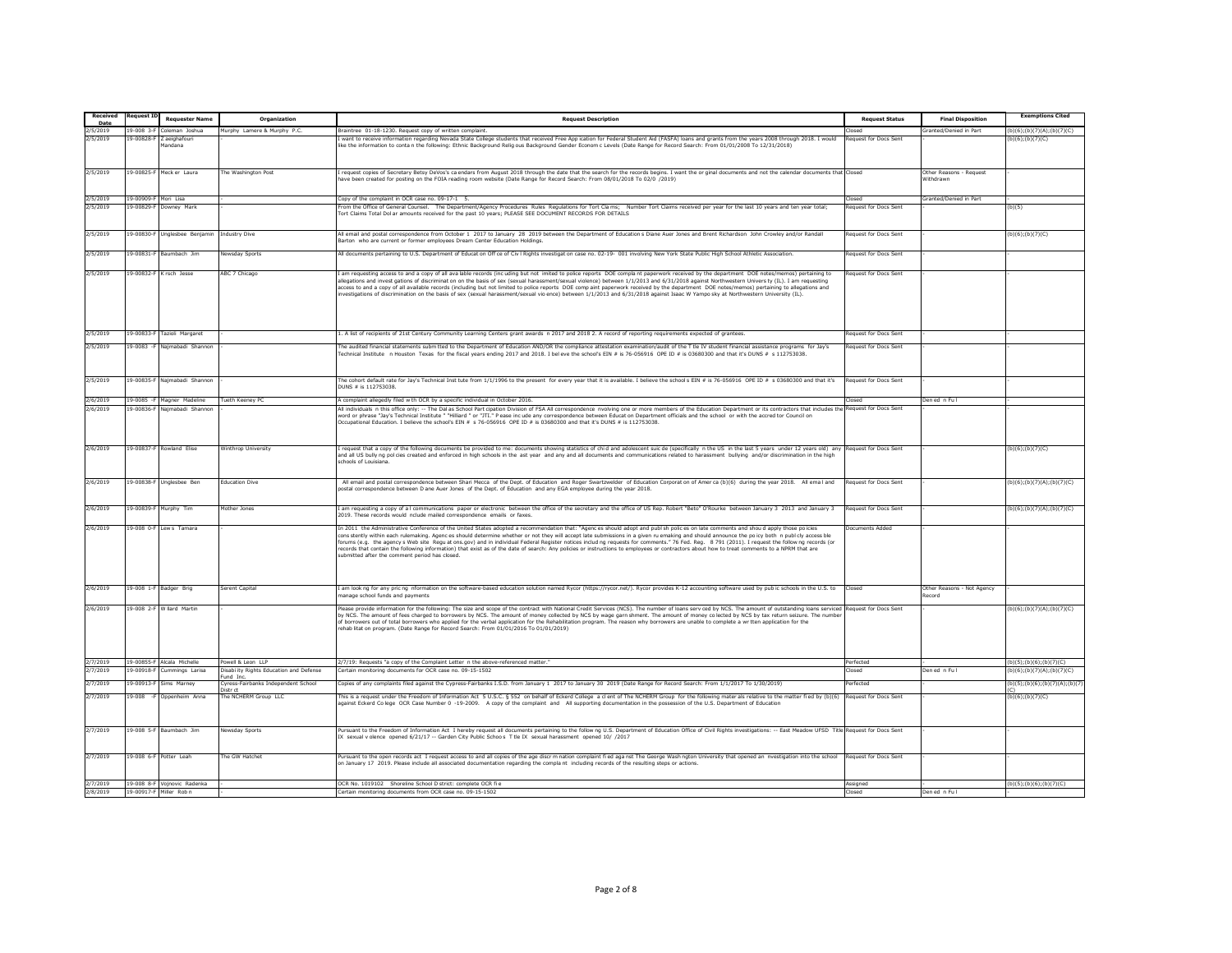| Received             | equest 1                         | <b>Requester Name</b>                   | Organization                                                                              | <b>Request Description</b>                                                                                                                                                                                                                                                                                                                                                                                                                                                                                                                                                                                                                                                                                                                                                                                                                 | <b>Request Status</b> | <b>Final Disposition</b>             | <b>Exemptions Cited</b>                                     |
|----------------------|----------------------------------|-----------------------------------------|-------------------------------------------------------------------------------------------|--------------------------------------------------------------------------------------------------------------------------------------------------------------------------------------------------------------------------------------------------------------------------------------------------------------------------------------------------------------------------------------------------------------------------------------------------------------------------------------------------------------------------------------------------------------------------------------------------------------------------------------------------------------------------------------------------------------------------------------------------------------------------------------------------------------------------------------------|-----------------------|--------------------------------------|-------------------------------------------------------------|
| Date                 |                                  |                                         |                                                                                           |                                                                                                                                                                                                                                                                                                                                                                                                                                                                                                                                                                                                                                                                                                                                                                                                                                            |                       |                                      |                                                             |
| 2/5/2019<br>2/5/2019 | $9 - 008$ 3-8<br>19-00828-F      | leman loshu<br>Z aeighafouri<br>Mandana | Murphy Lamere & Murphy P.C.                                                               | Braintree 01-18-1230. Request copy of written complaint.<br>want to receive information regarding Nevada State College students that received Free App ication for Federal Student Aid (FASFA) loans and grants from the years 2008 through 2018. I would<br>ike the information to conta n the following: Ethnic Background Relig ous Background Gender Econom c Levels (Date Range for Record Search: From 01/01/2008 To 12/31/2018)                                                                                                                                                                                                                                                                                                                                                                                                     | equest for Docs Sent  | Granted/Denied in Part               | (b)(6); (b)(7)(A); (b)(7)(C)<br>(b)(6); (b)(7)(C)           |
| 2/5/2019             | $9 - 00825 - 8$                  | Meck er Laura                           | The Washington Post                                                                       | request copies of Secretary Betsy DeVos's ca endars from August 2018 through the date that the search for the records begins. I want the or ginal documents and not the calendar documents that Closed<br>ave been created for posting on the FOIA reading room website (Date Range for Record Search: From 08/01/2018 To 02/0 /2019)                                                                                                                                                                                                                                                                                                                                                                                                                                                                                                      |                       | Other Reasons - Request<br>Withdrawn |                                                             |
| 2/5/2019             | 19-00909-F Mori Lisa             |                                         |                                                                                           | Copy of the complaint in OCR case no. 09-17-1 5.                                                                                                                                                                                                                                                                                                                                                                                                                                                                                                                                                                                                                                                                                                                                                                                           | hezoľ                 | Granted/Denied in Part               |                                                             |
| 2/5/2019             | 9-00829-F                        | Downey Mark                             |                                                                                           | rom the Office of General Counsel. The Department/Agency Procedures Rules Regulations for Tort Clams; Number Tort Claims received per year for the last 10 years and ten year total;                                                                                                                                                                                                                                                                                                                                                                                                                                                                                                                                                                                                                                                       | lequest for Docs Sent |                                      | (b)(5)                                                      |
|                      |                                  |                                         |                                                                                           | ort Claims Total Dol ar amounts received for the past 10 years; PLEASE SEE DOCUMENT RECORDS FOR DETAILS                                                                                                                                                                                                                                                                                                                                                                                                                                                                                                                                                                                                                                                                                                                                    |                       |                                      |                                                             |
| 2/5/2019             |                                  | 19-00830-F Unglesbee Benjamin           | <b>Industry Dive</b>                                                                      | All email and postal correspondence from October 1 2017 to January 28 2019 between the Department of Education s Diane Auer Jones and Brent Richardson John Crowley and/or Randall<br>Sarton who are current or former employees Dream Center Education Holdings                                                                                                                                                                                                                                                                                                                                                                                                                                                                                                                                                                           | Request for Docs Sent |                                      | (b)(6);(b)(7)(C)                                            |
| 2/5/2019             |                                  | 19-00831-F Baumhach 1im                 | Newsday Sports                                                                            | All documents pertaining to U.S. Department of Educat on Off ce of Civ I Rights investigat on case no. 02-19- 001 involving New York State Public High School Athletic Association.                                                                                                                                                                                                                                                                                                                                                                                                                                                                                                                                                                                                                                                        | Request for Docs Sent |                                      |                                                             |
| 2/5/2019             |                                  | 9-00832-F Krsch Jesse                   | <b>ABC 7 Chicago</b>                                                                      | am requesting access to and a copy of all ava lable records (incuding but not imited to police reports DOE complant paperwork received by the department DOE notes/memos) pertaining to<br>llegations and invest gations of discriminat on on the basis of sex (sexual harassment/sexual violence) between 1/1/2013 and 6/31/2018 against Northwestern Univers ty (IL). I am requesting<br>ccess to and a copy of all available records (including but not limited to police reports DOE comp aint paperwork received by the department DOE notes/memos) pertaining to allegations and<br>nvestigations of discrimination on the basis of sex (sexual harassment/sexual vio ence) between 1/1/2013 and 6/31/2018 against Isaac W Yampo sky at Northwestern University (IL).                                                                | equest for Docs Sent  |                                      |                                                             |
| 2/5/2019             | 9-00833-F                        | Tazioli Margaret                        |                                                                                           | L. A list of recipients of 21st Century Community Learning Centers grant awards n 2017 and 2018 2. A record of reporting requirements expected of grantees.                                                                                                                                                                                                                                                                                                                                                                                                                                                                                                                                                                                                                                                                                | lequest for Docs Sent |                                      |                                                             |
| 2/5/2019             | $9 - 0083 - F$                   | Najmabadi Shannor                       |                                                                                           | The audited financial statements subm tted to the Department of Education AND/OR the compliance attestation examination/audit of the T tle IV student financial assistance programs for Jay's<br>Technical Institute n Houston Texas for the fiscal years ending 2017 and 2018. I beleve the school's EIN # is 76-056916 OPE ID # is 03680300 and that it's DUNS # s 112753038.                                                                                                                                                                                                                                                                                                                                                                                                                                                            | equest for Docs Sent  |                                      |                                                             |
| 2/5/2019             |                                  | 19-00835-F Najmabadi Shannon            |                                                                                           | The cohort default rate for Jay's Technical Inst tute from 1/1/1996 to the present for every year that it is available. I believe the schools EIN # is 76-056916 OPE ID # s 03680300 and that it's<br>DUNS # is 112753038.                                                                                                                                                                                                                                                                                                                                                                                                                                                                                                                                                                                                                 | equest for Docs Sent  |                                      |                                                             |
| 2/6/2019             |                                  | 19-0085 -F Magner Madeline              | Tueth Keeney PC                                                                           | A complaint allegedly filed w th OCR by a specific individual in October 2016.                                                                                                                                                                                                                                                                                                                                                                                                                                                                                                                                                                                                                                                                                                                                                             | hezol <sup>n</sup>    | Den ed n Ful                         |                                                             |
| 2/6/2019             |                                  | 19-00836-F Natmabadi Shanno             |                                                                                           | All individuals n this office only: -- The Dal as School Part cipation Division of FSA All correspondence nvolving one or more members of the Education Department or its contractors that includes the Request for Docs Sent<br>ord or phrase "Jay's Technical Institute " "Hilliard " or "JTI." Pease incude any correspondence between Educat on Department officials and the school or with the accred tor Council on<br>Occupational Education. I believe the school's EIN # s 76-056916 OPE ID # is 03680300 and that it's DUNS # is 112753038.                                                                                                                                                                                                                                                                                      |                       |                                      |                                                             |
| 2/6/2019             | 9-00837-F                        | <b>Rowland Elise</b>                    | <b>Ninthrop University</b>                                                                | I request that a copy of the following documents be provided to me: documents showing statistics of chi d and adolescent suic de (specifically n the US in the last 5 years under 12 years old) any<br>and all US bully ng pol cles created and enforced in high schools in the ast year and any and all documents and communications related to harassment bullying and/or discrimination in the high<br>schools of Louisiana                                                                                                                                                                                                                                                                                                                                                                                                             | lequest for Docs Sent |                                      | (b)(6);(b)(7)(C)                                            |
| 2/6/2019             |                                  | 19-00838-F Unglesbee Ben                | <b>Education Dive</b>                                                                     | All email and postal correspondence between Shari Mecca of the Dept. of Education and Roger Swartzwelder of Education Corporat on of Amer ca (b)(6) during the year 2018. All ema I and<br>oostal correspondence between D ane Auer Jones of the Dept. of Education and any EGA employee during the year 2018.                                                                                                                                                                                                                                                                                                                                                                                                                                                                                                                             | equest for Docs Sent  |                                      | (b)(6);(b)(7)(A);(b)(7)(C)                                  |
| 2/6/2019             | 9-00839-F                        | Murphy Tim                              | <b>Aother Jones</b>                                                                       | am requesting a copy of a I communications paper or electronic between the office of the secretary and the office of US Rep. Robert "Beto" O'Rourke between January 3 2013 and January 3<br>2019. These records would nclude mailed correspondence emails or faxes.                                                                                                                                                                                                                                                                                                                                                                                                                                                                                                                                                                        | equest for Docs Sent  |                                      | (b)(6);(b)(7)(A);(b)(7)(C)                                  |
| 2/6/2019             |                                  | 9-008 O-F Lews Tamara                   |                                                                                           | In 2011 the Administrative Conference of the United States adopted a recommendation that: "Agences should adopt and publ sh polices on late comments and shou d apply those po icies<br>cons stently within each rulemaking. Agences should determine whether or not they will accept late submissions in a given ru emaking and should announce the policy both in publicly access ble<br>orums (e.g. the agency s Web site Regu at ons.gov) and in individual Federal Register notices includ ng requests for comments." 76 Fed. Reg. 8 791 (2011). I request the follow ng records (or<br>ecords that contain the following information) that exist as of the date of search: Any policies or instructions to employees or contractors about how to treat comments to a NPRM that are<br>submitted after the comment period has closed. | ocuments Added        |                                      |                                                             |
| 2/6/2019             |                                  | 19-008 1-F Badger Brig                  | Serent Capita                                                                             | I am look ng for any pric ng nformation on the software-based education solution named Rycor (https://rycor.net/). Rycor provides K-12 accounting software used by pub ic schools in the U.S. to<br>anage school funds and payments                                                                                                                                                                                                                                                                                                                                                                                                                                                                                                                                                                                                        | Closed                | Other Reasons - Not Agency<br>ecord  |                                                             |
| 2/6/2019             |                                  | 19-008 2-F Wilard Martin                |                                                                                           | Mease provide information for the following: The size and scope of the contract with National Credit Services (NCS). The number of loans serv ced by NCS. The amount of outstanding loans serviced Request for Docs Sent<br>by NCS. The amount of fees charged to borrowers by NCS. The amount of money collected by NCS by wage garn shment. The amount of money co lected by NCS by tax return seizure. The number<br>of borrowers out of total borrowers who applied for the verbal application for the Rehabilitation program. The reason why borrowers are unable to complete a wr tten application for the<br>rehab litat on program, (Date Range for Record Search: From 01/01/2016 To 01/01/2019)                                                                                                                                  |                       |                                      | (b)(6);(b)(7)(A);(b)(7)(C)                                  |
| 2/7/2019             |                                  | 19-00855-F Alcala Michelle              | Powell & Leon LLP                                                                         | 2/7/19: Requests "a copy of the Complaint Letter n the above-referenced matter."                                                                                                                                                                                                                                                                                                                                                                                                                                                                                                                                                                                                                                                                                                                                                           | erfected              |                                      | b)(5):(b)(6):(b)(7)(C)                                      |
| 2/7/2019<br>2/7/2019 | $9 - 00918 - 8$<br>$9 - 00913 -$ | ummings Larisa<br>Sims Marney           | Disabi ity Rights Education and Defense<br>und Inc<br>Cyress-Fairbanks Independent School | ertain monitoring documents for OCR case no. 09-15-1502<br>Copies of any complaints filed against the Cypress-Fairbanks I.S.D. from January 1 2017 to January 30 2019 (Date Range for Record Search: From 1/1/2017 To 1/30/2019)                                                                                                                                                                                                                                                                                                                                                                                                                                                                                                                                                                                                           | hezol<br>erfected     | en ed in Full                        | (b)(6);(b)(7)(A);(b)(7)(C)<br>b)(5);(b)(6);(b)(7)(A);(b)(7) |
| 2/7/2019             | 19-008                           | Oppenheim Anna                          | ctr ct<br>he NCHERM Group LLC                                                             | This is a request under the Freedom of Information Act 5 U.S.C. § 552 on behalf of Eckerd College a clent of The NCHERM Group for the following mater als relative to the matter fied by (b)(6)<br>igainst Eckerd Colege OCR Case Number 0 -19-2009. A copy of the complaint and All supporting documentation in the possession of the U.S. Department of Education                                                                                                                                                                                                                                                                                                                                                                                                                                                                        | Request for Docs Sent |                                      | (b)(6); (b)(7)(C)                                           |
| 2/7/2019             |                                  | 19-008 5-F Baumbach Jim                 | Newsday Sports                                                                            | Pursuant to the Freedom of Information Act I hereby request all documents pertaining to the follow ng U.S. Department of Education Office of Civil Rights investigations: -- East Meadow UFSD Title Request for Docs Sent<br>X sexual v olence opened 6/21/17 -- Garden City Public Schoos T tle IX sexual harassment opened 10/ /2017                                                                                                                                                                                                                                                                                                                                                                                                                                                                                                     |                       |                                      |                                                             |
| 2/7/2019             |                                  | 19-008 6-F Potter Leah                  | he GW Hatchet                                                                             | Pursuant to the open records act I request access to and all copies of the age discrm nation complaint fied aga nst The George Wash ngton University that opened an nvestigation into the school<br>on January 17 2019. Please include all associated documentation regarding the complant including records of the resulting steps or actions.                                                                                                                                                                                                                                                                                                                                                                                                                                                                                            | lequest for Docs Sent |                                      |                                                             |
| 2/7/2019             |                                  | 19-008 8-F Vojnovic Radenka             |                                                                                           | OCR No. 1019102 Shoreline School D strict: complete OCR fie                                                                                                                                                                                                                                                                                                                                                                                                                                                                                                                                                                                                                                                                                                                                                                                | Assigned              |                                      | b)(5);(b)(6);(b)(7)(C)                                      |
| 2/8/2019             |                                  | 19-00917-F Miller Rob n                 |                                                                                           | Certain monitoring documents from OCR case no, 09-15-1502                                                                                                                                                                                                                                                                                                                                                                                                                                                                                                                                                                                                                                                                                                                                                                                  | hezol                 | Den ed n Ful                         |                                                             |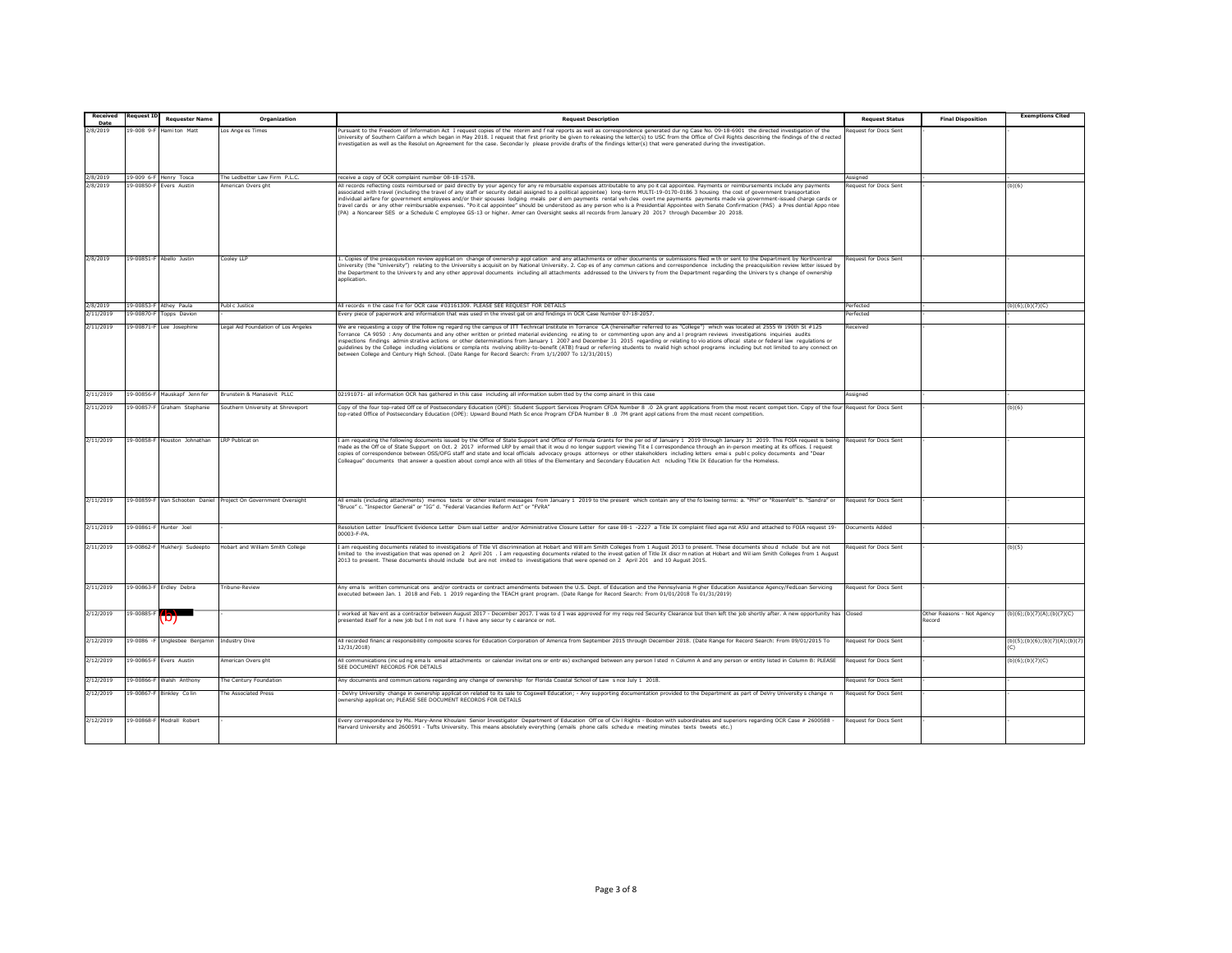| <b>Received</b>  | lequest I       | <b>Requester Name</b>                       | Organization                                                   | <b>Request Description</b>                                                                                                                                                                                                                                                                                                                                                                                                                                                                                                                                                                                                                                                                                                                                                                                                                                                                                                                      | <b>Request Status</b>        | <b>Final Disposition</b>             | <b>Exemptions Cited</b>        |
|------------------|-----------------|---------------------------------------------|----------------------------------------------------------------|-------------------------------------------------------------------------------------------------------------------------------------------------------------------------------------------------------------------------------------------------------------------------------------------------------------------------------------------------------------------------------------------------------------------------------------------------------------------------------------------------------------------------------------------------------------------------------------------------------------------------------------------------------------------------------------------------------------------------------------------------------------------------------------------------------------------------------------------------------------------------------------------------------------------------------------------------|------------------------------|--------------------------------------|--------------------------------|
| Date<br>2/8/2019 | 19-008 9-8      | Hami ton Matt                               | Los Ange es Times                                              | ursuant to the Freedom of Information Act I request copies of the nterim and f nal reports as well as correspondence generated dur ng Case No. 09-18-6901 the directed investigation of the                                                                                                                                                                                                                                                                                                                                                                                                                                                                                                                                                                                                                                                                                                                                                     | Request for Docs Sent        |                                      |                                |
|                  |                 |                                             |                                                                | Iniversity of Southern Californ a which began in May 2018. I request that first priority be given to releasing the letter(s) to USC from the Office of Civil Rights describing the findings of the d rected<br>ivestigation as well as the Resolut on Agreement for the case. Secondar ly please provide drafts of the findings letter(s) that were generated during the investigation.                                                                                                                                                                                                                                                                                                                                                                                                                                                                                                                                                         |                              |                                      |                                |
|                  |                 |                                             |                                                                |                                                                                                                                                                                                                                                                                                                                                                                                                                                                                                                                                                                                                                                                                                                                                                                                                                                                                                                                                 |                              |                                      |                                |
| 2/8/2019         |                 | 19-009 6-F Henry Tosca                      | he Ledbetter Law Firm P.L.C                                    | eceive a copy of OCR complaint number 08-18-1578.                                                                                                                                                                                                                                                                                                                                                                                                                                                                                                                                                                                                                                                                                                                                                                                                                                                                                               | ssianed                      |                                      |                                |
| 2/8/2019         |                 | 19-00850-F Evers Austin                     | merican Overs ght                                              | All records reflecting costs reimbursed or paid directly by your agency for any re mbursable expenses attributable to any po it cal appointee. Payments or reimbursements include any payments<br>ssociated with travel (including the travel of any staff or security detail assigned to a political appointee) long-term MULTI-19-0170-0186 3 housing the cost of government transportation<br>ndividual airfare for government employees and/or their spouses lodging meals per dem payments rental veh cles overt me payments payments made via government-issued charge cards or<br>ravel cards or any other reimbursable expenses. "Po it cal appointee" should be understood as any person who is a Presidential Appointee with Senate Confirmation (PAS) a Pres dential Appo ntee<br>(PA) a Noncareer SES or a Schedule C employee GS-13 or higher. Amer can Oversight seeks all records from January 20 2017 through December 20 2018. | equest for Docs Sent         |                                      | (b)(6)                         |
| 2/8/2019         |                 | 19-00851-F Abello Justin                    | Cooley LLP                                                     | Copies of the preacquisition review applicat on change of ownersh p appl cation and any attachments or other documents or submissions filed w th or sent to the Department by Northcentral                                                                                                                                                                                                                                                                                                                                                                                                                                                                                                                                                                                                                                                                                                                                                      | <b>Request for Docs Sent</b> |                                      |                                |
|                  |                 |                                             |                                                                | Iniversity (the "University") relating to the University s acquisit on by National University. 2. Cop es of any commun cations and correspondence including the preacquisition review letter issued by<br>the Department to the Univers ty and any other approval documents including all attachments addressed to the Univers ty from the Department regarding the Univers ty s change of ownership<br>application.                                                                                                                                                                                                                                                                                                                                                                                                                                                                                                                            |                              |                                      |                                |
| 2/8/2019         |                 | 9-00853-F Athey Paula                       | Publ c Justice                                                 | All records n the case fi e for OCR case #03161309. PLEASE SEE REQUEST FOR DETAILS                                                                                                                                                                                                                                                                                                                                                                                                                                                                                                                                                                                                                                                                                                                                                                                                                                                              | erfected                     |                                      | (b)(6); (b)(7)(C)              |
| 2/11/2019        | 9-00870-F       | Topps Davion                                |                                                                | ivery piece of paperwork and information that was used in the invest gat on and findings in OCR Case Number 07-18-2057.                                                                                                                                                                                                                                                                                                                                                                                                                                                                                                                                                                                                                                                                                                                                                                                                                         | erfected                     |                                      |                                |
| 2/11/2019        | $9 - 00871 - 8$ | Lee Josephine                               | Legal Aid Foundation of Los Angeles                            | We are requesting a copy of the follow ng regard ng the campus of ITT Technical Institute in Torrance CA (hereinafter referred to as "College") which was located at 2555 W 190th St #125<br>Forrance CA 9050 : Any documents and any other written or printed material evidencing reating to or commenting upon any and a I program reviews investigations inquiries audits<br>inspections findings administrative actions or other determinations from January 1 2007 and December 31 2015 regarding or relating to vio ations oflocal state or federal law regulations or<br>guidelines by the College including violations or complants nvolving ability-to-benefit (ATB) fraud or referring students to nvalid high school programs including but not limited to any connect on<br>etween College and Century High School. (Date Range for Record Search: From 1/1/2007 To 12/31/2015)                                                     | eceived                      |                                      |                                |
| 2/11/2019        |                 | 19-00856-F Mauskapf Jenn fer                | Brunstein & Manasevit PLLC                                     | 02191071- all information OCR has gathered in this case including all information subm tted by the comp ainant in this case                                                                                                                                                                                                                                                                                                                                                                                                                                                                                                                                                                                                                                                                                                                                                                                                                     | Assigned                     |                                      |                                |
| 2/11/2019        |                 | 19-00857-F Graham Stephanie                 | Southern University at Shreveport                              | Copy of the four top-rated Off ce of Postsecondary Education (OPE): Student Support Services Program CFDA Number 8 .0 2A grant applications from the most recent compet tion. Copy of the four Request for Docs Sent                                                                                                                                                                                                                                                                                                                                                                                                                                                                                                                                                                                                                                                                                                                            |                              |                                      | (b)(6)                         |
|                  |                 |                                             |                                                                | op-rated Office of Postsecondary Education (OPE): Upward Bound Math Sc ence Program CFDA Number 8 .0 7M grant appl cations from the most recent competition.                                                                                                                                                                                                                                                                                                                                                                                                                                                                                                                                                                                                                                                                                                                                                                                    |                              |                                      |                                |
| 2/11/2019        |                 | 19-00858-F Houston Johnathan                | <b>LRP Publicat or</b>                                         | am requesting the following documents issued by the Office of State Support and Office of Formula Grants for the per od of January 1 2019 through January 31 2019. This FOIA request is being<br>nade as the Off ce of State Support on Oct. 2 2017 informed LRP by email that it wou d no longer support viewing Tit e I correspondence through an in-person meeting at its offices. I request<br>opies of correspondence between OSS/OFG staff and state and local officials advocacy groups attorneys or other stakeholders including letters emais public policy documents and "Dear<br>Colleague" documents that answer a question about compl ance with all titles of the Elementary and Secondary Education Act ncluding Title IX Education for the Homeless                                                                                                                                                                             | <b>Request for Docs Sent</b> |                                      |                                |
| 2/11/2019        |                 |                                             | 19-00859-F Van Schooten Daniel Project On Government Oversight | All emails (including attachments) memos texts or other instant messages from January 1 2019 to the present which contain any of the folowing terms: a. "Phil" or "Rosenfelt" b. "Sandra" or<br>Bruce" c. "Inspector General" or "IG" d. "Federal Vacancies Reform Act" or "FVRA"                                                                                                                                                                                                                                                                                                                                                                                                                                                                                                                                                                                                                                                               | Request for Docs Sent        |                                      |                                |
| 2/11/2019        |                 | 19-00861-F Hunter Joel                      |                                                                | Resolution Letter Insufficient Evidence Letter Dism ssal Letter and/or Administrative Closure Letter for case 08-1 -2227 a Title IX complaint filed aga nst ASU and attached to FOIA request 19-<br>00003-F-PA.                                                                                                                                                                                                                                                                                                                                                                                                                                                                                                                                                                                                                                                                                                                                 | Documents Added              |                                      |                                |
| 2/11/2019        |                 | 19-00862-F Mukherji Sudeepto                | Hobart and William Smith College                               | am requesting documents related to investigations of Title VI discrimination at Hobart and Will am Smith Colleges from 1 August 2013 to present. These documents shou d nclude but are not<br>nited to the investigation that was opened on 2 April 201 . I am requesting documents related to the invest gation of Title IX discr m nation at Hobart and Willam Smith Colleges from 1 August<br>2013 to present. These documents should include but are not imited to investigations that were opened on 2 April 201 and 10 August 2015.                                                                                                                                                                                                                                                                                                                                                                                                       | Request for Docs Sent        |                                      | (b)(5)                         |
| 2/11/2019        |                 | 19-00863-F Erdley Debra                     | Tribune-Review                                                 | Any ema is written communicat ons and/or contracts or contract amendments between the U.S. Dept. of Education and the Pennsylvania H gher Education Assistance Agency/FedLoan Servicing<br>executed between Jan. 1 2018 and Feb. 1 2019 regarding the TEACH grant program. (Date Range for Record Search: From 01/01/2018 To 01/31/2019)                                                                                                                                                                                                                                                                                                                                                                                                                                                                                                                                                                                                        | Request for Docs Sent        |                                      |                                |
| 2/12/2019        | 19-00885-F      | וטז                                         |                                                                | worked at Nav ent as a contractor between August 2017 - December 2017. I was to d I was approved for my regured Security Clearance but then left the job shortly after. A new opportunity has Closed<br>presented itself for a new job but I m not sure f i have any security clearance or not.                                                                                                                                                                                                                                                                                                                                                                                                                                                                                                                                                                                                                                                 |                              | Other Reasons - Not Agency<br>Record | (b)(6)(b)(7)(A)(b)(7)(C)       |
| 2/12/2019        |                 | 19-0086 -F Unglesbee Benjamin Industry Dive |                                                                | All recorded financ al responsibility composite scores for Education Corporation of America from September 2015 through December 2018. (Date Range for Record Search: From 09/01/2015 To<br>12/31/2018)                                                                                                                                                                                                                                                                                                                                                                                                                                                                                                                                                                                                                                                                                                                                         | <b>Request for Docs Sent</b> |                                      | (b)(5);(b)(6);(b)(7)(A);(b)(7) |
| 2/12/2019        |                 | 9-00865-F Evers Austin                      | American Overs ght                                             | All communications (incud ng ema is email attachments or calendar invitat ons or entres) exchanged between any person I sted n Column A and any person or entity listed in Column B: PLEASE<br>SEE DOCUMENT RECORDS FOR DETAILS                                                                                                                                                                                                                                                                                                                                                                                                                                                                                                                                                                                                                                                                                                                 | Request for Docs Sent        |                                      | (b)(6); (b)(7)(C)              |
| 2/12/2019        |                 | 19-00866-F Walsh Anthony                    | The Century Foundation                                         | Any documents and commun cations regarding any change of ownership for Florida Coastal School of Law s nce July 1 2018.                                                                                                                                                                                                                                                                                                                                                                                                                                                                                                                                                                                                                                                                                                                                                                                                                         | Request for Docs Sent        |                                      |                                |
| 2/12/2019        |                 | 9-00867-F Binkley Colin                     | The Associated Press                                           | DeVry University change in ownership applicat on related to its sale to Cogswell Education; - Any supporting documentation provided to the Department as part of DeVry University s change n<br>wnership applicat on; PLEASE SEE DOCUMENT RECORDS FOR DETAILS                                                                                                                                                                                                                                                                                                                                                                                                                                                                                                                                                                                                                                                                                   | Request for Docs Sent        |                                      |                                |
| 2/12/2019        |                 | 19-00868-F Modrall Robert                   |                                                                | = Every correspondence by Ms. Mary-Anne Khoulani Senior Investigator Department of Education Off ce of Civ   Rights - Boston with subordinates and superiors regarding OCR Case # 2600588<br>Harvard University and 2600591 - Tufts University. This means absolutely everything (emails phone calls schedue meeting minutes texts tweets etc.)                                                                                                                                                                                                                                                                                                                                                                                                                                                                                                                                                                                                 | Request for Docs Sent        |                                      |                                |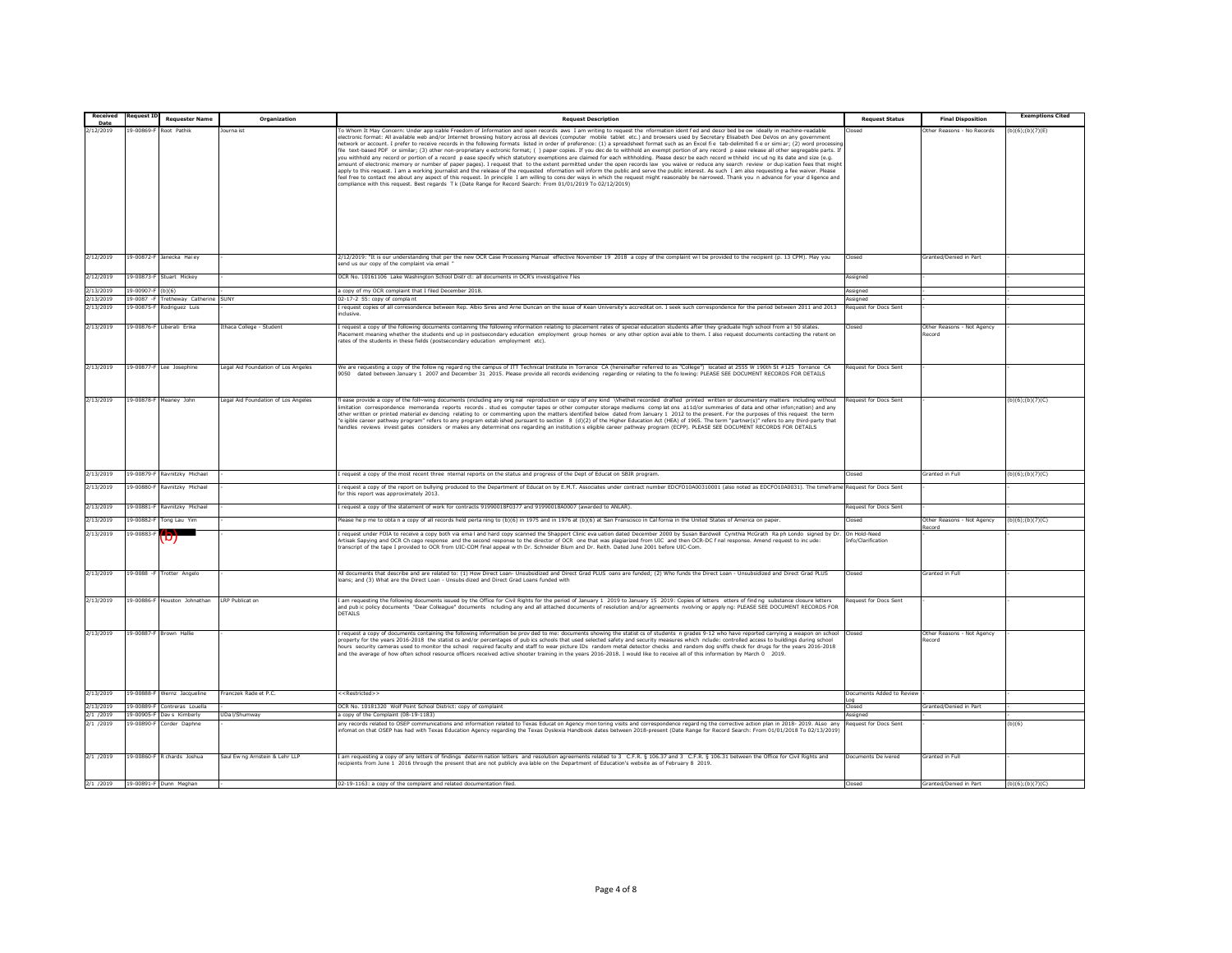| Received          |                 | <b>Requester Name</b>            | Organization                        | <b>Request Description</b>                                                                                                                                                                                                                                                                                                                                                                                                                                                                                                                                                                                                                                                                                                                                                                                                                                                                                                                                                                                                                                                                                                                                                                                                                                                                                                                                                                                                                                                                                                                        | <b>Request Status</b>              | <b>Final Disposition</b>             | <b>Exemptions Cited</b> |
|-------------------|-----------------|----------------------------------|-------------------------------------|---------------------------------------------------------------------------------------------------------------------------------------------------------------------------------------------------------------------------------------------------------------------------------------------------------------------------------------------------------------------------------------------------------------------------------------------------------------------------------------------------------------------------------------------------------------------------------------------------------------------------------------------------------------------------------------------------------------------------------------------------------------------------------------------------------------------------------------------------------------------------------------------------------------------------------------------------------------------------------------------------------------------------------------------------------------------------------------------------------------------------------------------------------------------------------------------------------------------------------------------------------------------------------------------------------------------------------------------------------------------------------------------------------------------------------------------------------------------------------------------------------------------------------------------------|------------------------------------|--------------------------------------|-------------------------|
| Date<br>2/12/2019 | $9 - 00869 - 1$ | Root Pathik                      | Journa ist                          | To Whom It May Concern: Under app icable Freedom of Information and open records aws I am writing to request the information identified and described be ow ideally in machine-readable                                                                                                                                                                                                                                                                                                                                                                                                                                                                                                                                                                                                                                                                                                                                                                                                                                                                                                                                                                                                                                                                                                                                                                                                                                                                                                                                                           |                                    | Other Reasons - No Records           |                         |
|                   |                 |                                  |                                     | electronic format: All available web and/or Internet browsing history across all devices (computer mobile tablet etc.) and browsers used by Secretary Elisabeth Dee DeVos on any government<br>network or account. I prefer to receive records in the following formats listed in order of preference: (1) a spreadsheet format such as an Excel fi e tab-delimited fi e or simi ar; (2) word processir<br>file text-based PDF or similar; (3) other non-proprietary e ectronic format; () paper copies. If you dec de to withhold an exempt portion of any record pease release all other segregable parts. It<br>you withhold any record or portion of a record pease specify which statutory exemptions are claimed for each withholding. Please describe each record withheld incuding its date and size (e.g.<br>amount of electronic memory or number of paper pages). I request that to the extent permitted under the open records law you waive or reduce any search review or dup ication fees that might<br>apply to this request. I am a working journalist and the release of the requested information will inform the public and serve the public interest. As such I am also requesting a fee waiver. Please<br>eel free to contact me about any aspect of this request. In principle I am willing to cons der ways in which the request might reasonably be narrowed. Thank you n advance for your d ligence and<br>compliance with this request. Best regards T k (Date Range for Record Search: From 01/01/2019 To 02/12/2019) |                                    |                                      | (b)(6); (b)(7)(E)       |
|                   |                 |                                  |                                     |                                                                                                                                                                                                                                                                                                                                                                                                                                                                                                                                                                                                                                                                                                                                                                                                                                                                                                                                                                                                                                                                                                                                                                                                                                                                                                                                                                                                                                                                                                                                                   |                                    |                                      |                         |
| 2/12/2019         |                 | 19-00872-F Janecka Hai ey        |                                     | 2/12/2019: "It is our understanding that per the new OCR Case Processing Manual effective November 19 2018 a copy of the complaint wil be provided to the recipient (p. 13 CPM). May you<br>end us our copy of the complaint via email                                                                                                                                                                                                                                                                                                                                                                                                                                                                                                                                                                                                                                                                                                                                                                                                                                                                                                                                                                                                                                                                                                                                                                                                                                                                                                            | Closed                             | Granted/Denied in Part               |                         |
| 2/12/2019         | 9-00873-F       | Stuart Mickey                    |                                     | OCR No. 10161106 Lake Washington School Distr ct: all documents in OCR's investigative fles                                                                                                                                                                                                                                                                                                                                                                                                                                                                                                                                                                                                                                                                                                                                                                                                                                                                                                                                                                                                                                                                                                                                                                                                                                                                                                                                                                                                                                                       | Assigned                           |                                      |                         |
| 2/13/2019         | 3-00907-1       |                                  |                                     | copy of my OCR complaint that I filed December 2018.                                                                                                                                                                                                                                                                                                                                                                                                                                                                                                                                                                                                                                                                                                                                                                                                                                                                                                                                                                                                                                                                                                                                                                                                                                                                                                                                                                                                                                                                                              | ssigned                            |                                      |                         |
| 2/13/2019         | $9 - 0087 - F$  | <b>Tretheway Catherine</b>       | SUNY                                | 02-17-2 55: copy of complant                                                                                                                                                                                                                                                                                                                                                                                                                                                                                                                                                                                                                                                                                                                                                                                                                                                                                                                                                                                                                                                                                                                                                                                                                                                                                                                                                                                                                                                                                                                      | ssigned                            |                                      |                         |
| 2/13/2019         | 9-00875-        | odriguez Luis                    |                                     | request copies of all corresondence between Rep. Albio Sires and Arne Duncan on the issue of Kean University's accreditat on. I seek such correspondence for the period between 2011 and 2013<br>nclusive.                                                                                                                                                                                                                                                                                                                                                                                                                                                                                                                                                                                                                                                                                                                                                                                                                                                                                                                                                                                                                                                                                                                                                                                                                                                                                                                                        | equest for Docs Sent               |                                      |                         |
| 2/13/2019         |                 | 9-00876-F Liberati Erika         | thaca College - Student             | request a copy of the following documents containing the following information relating to placement rates of special education students after they graduate high school from a I 50 states.<br>lacement meaning whether the students end up in postsecondary education employment group homes or any other option avai able to them. I also request documents contacting the retent on<br>rates of the students in these fields (postsecondary education employment etc).                                                                                                                                                                                                                                                                                                                                                                                                                                                                                                                                                                                                                                                                                                                                                                                                                                                                                                                                                                                                                                                                        | losec                              | Other Reasons - Not Agency<br>tecord |                         |
| 2/13/2019         |                 | 19-00877-F Lee Josephine         | Legal Aid Foundation of Los Angeles | We are requesting a copy of the follow ng regard ng the campus of ITT Technical Institute in Torrance CA (hereinafter referred to as "College") located at 2555 W 190th St #125 Torrance CA<br>9050 dated between January 1 2007 and December 31 2015. Please provide all records evidencing regarding or relating to the folowing: PLEASE SEE DOCUMENT RECORDS FOR DETAILS                                                                                                                                                                                                                                                                                                                                                                                                                                                                                                                                                                                                                                                                                                                                                                                                                                                                                                                                                                                                                                                                                                                                                                       | lequest for Docs Sent              |                                      |                         |
| 2/13/2019         |                 | 19-00878-F Meanev John           | Legal Aid Foundation of Los Angeles | fl ease provide a copy of the foll~wing documents (including any orig nal reproduction or copy of any kind \Vhethet recorded drafted printed written or documentary matters including without<br>imitation correspondence memoranda reports records studies computer tapes or other computer storage mediums complations a11d/or summaries of data and other infon;nation) and any<br>other written or printed material ev dencing relating to or commenting upon the matters identified below dated from January 1 2012 to the present. For the purposes of this request the term<br>"e igible career pathway program" refers to any program estab ished pursuant to section 8 (d)(2) of the Higher Education Act (HEA) of 1965. The term "partner(s)" refers to any third-party that<br>handles reviews invest gates considers or makes any determinations regarding an institution seligible career pathway program (ECPP). PLEASE SEE DOCUMENT RECORDS FOR DETAILS                                                                                                                                                                                                                                                                                                                                                                                                                                                                                                                                                                            | equest for Docs Sent               |                                      | $(b)(6)$ ; (b)(7)(C)    |
| 2/13/2019         | 19-00879-       | Ravnitzky Michae                 |                                     | request a copy of the most recent three nternal reports on the status and progress of the Dept of Educat on SBIR program.                                                                                                                                                                                                                                                                                                                                                                                                                                                                                                                                                                                                                                                                                                                                                                                                                                                                                                                                                                                                                                                                                                                                                                                                                                                                                                                                                                                                                         | losed                              | Granted in Full                      | (b)(6); (b)(7)(C)       |
| 2/13/2019         |                 | 19-00880-F Ravnitzky Michael     |                                     | request a copy of the report on bullying produced to the Department of Educat on by E.M.T. Associates under contract number EDCFO10A00310001 (also noted as EDCFO10A0031). The timeframe<br>or this report was approximately 2013.                                                                                                                                                                                                                                                                                                                                                                                                                                                                                                                                                                                                                                                                                                                                                                                                                                                                                                                                                                                                                                                                                                                                                                                                                                                                                                                | Request for Docs Sent              |                                      |                         |
| 2/13/2019         | 19-00881-F      | Ravnitzky Michael                |                                     | request a copy of the statement of work for contracts 91990018F0377 and 91990018A0007 (awarded to ANLAR).                                                                                                                                                                                                                                                                                                                                                                                                                                                                                                                                                                                                                                                                                                                                                                                                                                                                                                                                                                                                                                                                                                                                                                                                                                                                                                                                                                                                                                         | Request for Docs Sent              |                                      |                         |
| 2/13/2019         | $9 - 00882 -$   | Tong Lau Yim                     |                                     | )<br>lease he p me to obta n a copy of all records held perta ning to (b)(6) in 1975 and in 1976 at (b)(6) at San Franscisco in Cal fornia in the United States of America on paper.                                                                                                                                                                                                                                                                                                                                                                                                                                                                                                                                                                                                                                                                                                                                                                                                                                                                                                                                                                                                                                                                                                                                                                                                                                                                                                                                                              | closed                             | Other Reasons - Not Agency           | (b)(6)(b)(7)(C)         |
| 2/13/2019         | $9 - 00883 -$   | וט                               |                                     | I request under FOIA to receive a copy both via email and hard copy scanned the Shappert Clinic eva uation dated December 2000 by Susan Bardwell Cynithia McGrath Raph Londo signed by Dr.<br>Artisak Sapying and OCR Ch cago response and the second response to the director of OCR one that was plagiarized from UIC and then OCR-DC f nal response. Amend request to incude:<br>transcript of the tape I provided to OCR from UIC-COM final appeal w th Dr. Schneider Blum and Dr. Reith. Dated June 2001 before UIC-Com.                                                                                                                                                                                                                                                                                                                                                                                                                                                                                                                                                                                                                                                                                                                                                                                                                                                                                                                                                                                                                     | On Hold-Need<br>Info/Clarification | Record                               |                         |
| 2/13/2019         |                 | 19-0088 -F Trotter Angelo        |                                     | All documents that describe and are related to: (1) How Direct Loan- Unsubsidized and Direct Grad PLUS oans are funded; (2) Who funds the Direct Loan - Unsubsidized and Direct Grad PLUS<br>ans; and (3) What are the Direct Loan - Unsubs dized and Direct Grad Loans funded with                                                                                                                                                                                                                                                                                                                                                                                                                                                                                                                                                                                                                                                                                                                                                                                                                                                                                                                                                                                                                                                                                                                                                                                                                                                               | Closed                             | Granted in Full                      |                         |
| 2/13/2019         |                 | 19-00886-F Houston Johnathan     | <b>LRP Publicat on</b>              | am requesting the following documents issued by the Office for Civil Rights for the period of January 1 2019 to January 15 2019; Copies of letters etters of find ng substance closure letters<br>and pub ic policy documents "Dear Colleague" documents ncluding any and all attached documents of resolution and/or agreements nvolving or apply ng: PLEASE SEE DOCUMENT RECORDS FOR<br>DETAILS.                                                                                                                                                                                                                                                                                                                                                                                                                                                                                                                                                                                                                                                                                                                                                                                                                                                                                                                                                                                                                                                                                                                                                | equest for Docs Sent               |                                      |                         |
| 2/13/2019         |                 | 19-00887-F Brown Hallie          |                                     | I request a copy of documents containing the following information be prov ded to me: documents showing the statist cs of students n grades 9-12 who have reported carrying a weapon on schoo<br>property for the years 2016-2018 the statist cs and/or percentages of pub ics schools that used selected safety and security measures which nclude: controlled access to buildings during school<br>hours security cameras used to monitor the school required faculty and staff to wear picture IDs random metal detector checks and random dog sniffs check for drugs for the years 2016-2018<br>and the average of how often school resource officers received active shooter training in the years 2016-2018. I would like to receive all of this information by March 0 2019.                                                                                                                                                                                                                                                                                                                                                                                                                                                                                                                                                                                                                                                                                                                                                               |                                    | Other Reasons - Not Agency<br>Record |                         |
| 2/13/2019         |                 | 19-00888-F Wernz Jacqueline      | Franczek Rade et P.C.               | < <restricted>&gt;</restricted>                                                                                                                                                                                                                                                                                                                                                                                                                                                                                                                                                                                                                                                                                                                                                                                                                                                                                                                                                                                                                                                                                                                                                                                                                                                                                                                                                                                                                                                                                                                   | Documents Added to Revie           |                                      |                         |
| 2/13/2019         |                 | 19-00889-F Contreras Louella     |                                     | OCR No. 10181320 Wolf Point School District: copy of complaint                                                                                                                                                                                                                                                                                                                                                                                                                                                                                                                                                                                                                                                                                                                                                                                                                                                                                                                                                                                                                                                                                                                                                                                                                                                                                                                                                                                                                                                                                    | hezol"                             | <b>Sranted/Denied in Part</b>        |                         |
| 2/1 /2019         |                 | 19-00905-F Dav s Kimberly        | UDa I/Shumway                       | a copy of the Complaint (08-19-1183)                                                                                                                                                                                                                                                                                                                                                                                                                                                                                                                                                                                                                                                                                                                                                                                                                                                                                                                                                                                                                                                                                                                                                                                                                                                                                                                                                                                                                                                                                                              | <i><b>Issigned</b></i>             |                                      |                         |
| 2/1 /2019         |                 | 19-00890-F Corder Daphne         |                                     | any records related to OSEP communications and information related to Texas Educat on Agency mon toring visits and correspondence regard ng the corrective action plan in 2018-2019. ALso any<br>nfomat on that OSEP has had with Texas Education Agency regarding the Texas Dyslexia Handbook dates between 2018-present (Date Range for Record Search: From 01/01/2018 To 02/13/2019)                                                                                                                                                                                                                                                                                                                                                                                                                                                                                                                                                                                                                                                                                                                                                                                                                                                                                                                                                                                                                                                                                                                                                           | equest for Docs Sent               |                                      | (b)(6)                  |
| 2/1 / 2019        |                 | 19-00860-F R chards Joshua       | Saul Ew ng Arnstein & Lehr LLP      | am requesting a copy of any letters of findings determ nation letters and resolution agreements related to 3 C.F.R. § 106.37 and 3 C.F.R. § 106.31 between the Office for Civil Rights and<br>ecipients from June 1 2016 through the present that are not publicly available on the Department of Education's website as of February 8 2019.                                                                                                                                                                                                                                                                                                                                                                                                                                                                                                                                                                                                                                                                                                                                                                                                                                                                                                                                                                                                                                                                                                                                                                                                      | Documents De ivered                | Granted in Full                      |                         |
|                   |                 | 2/1 /2019 19-00891-F Dunn Meghan |                                     | 02-19-1163; a copy of the complaint and related documentation filed.                                                                                                                                                                                                                                                                                                                                                                                                                                                                                                                                                                                                                                                                                                                                                                                                                                                                                                                                                                                                                                                                                                                                                                                                                                                                                                                                                                                                                                                                              | Closed                             | Granted/Denied in Part               | $(b)(6)$ ; $(b)(7)(C)$  |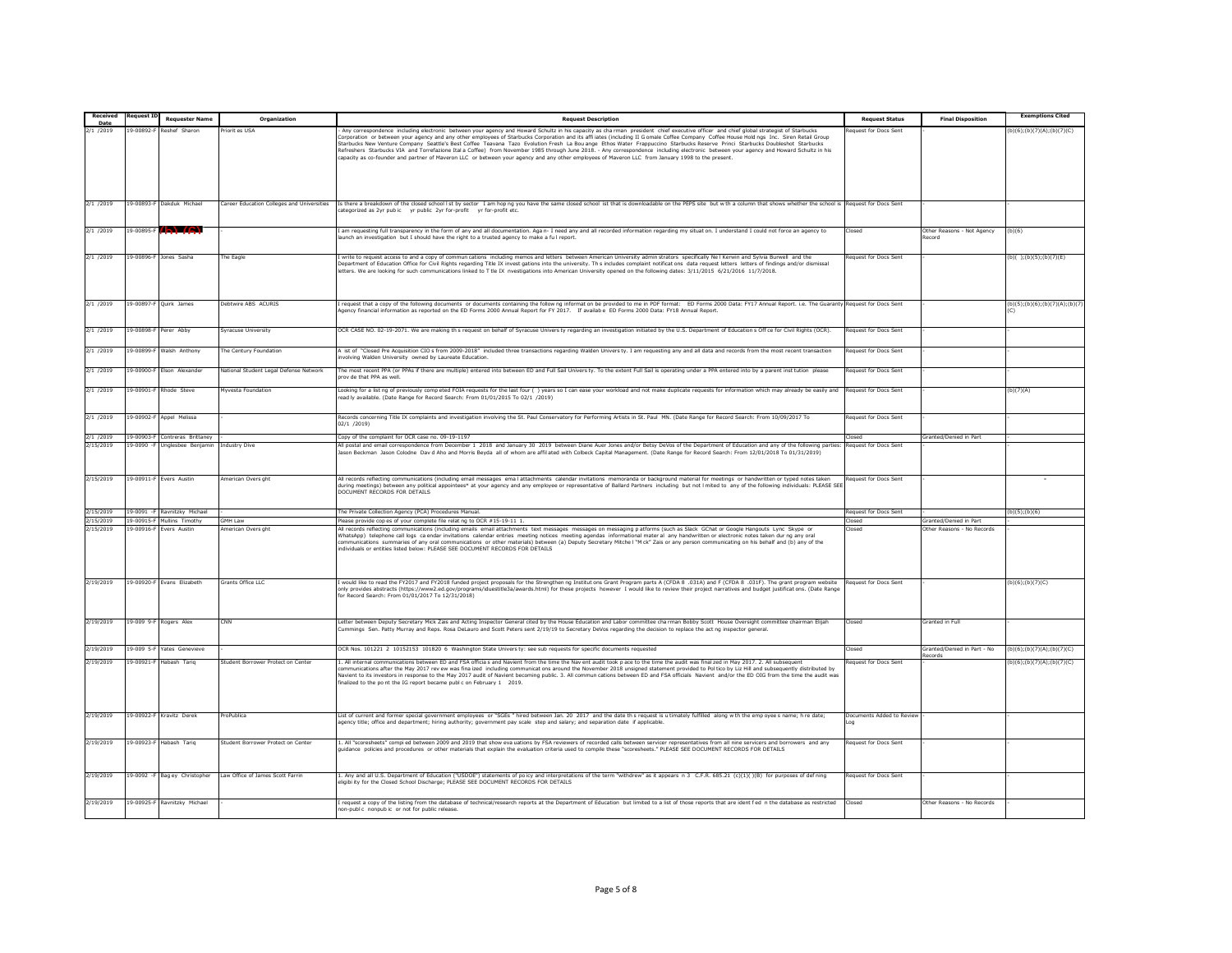| Received           |                 | <b>Requester Name</b>         | Organization                               | <b>Request Description</b>                                                                                                                                                                                                                                                                                                                                                                                                                                                                                                                                                                                                                                                                                               | <b>Request Status</b>                  | <b>Final Disposition</b>             | <b>Exemptions Cited</b>        |
|--------------------|-----------------|-------------------------------|--------------------------------------------|--------------------------------------------------------------------------------------------------------------------------------------------------------------------------------------------------------------------------------------------------------------------------------------------------------------------------------------------------------------------------------------------------------------------------------------------------------------------------------------------------------------------------------------------------------------------------------------------------------------------------------------------------------------------------------------------------------------------------|----------------------------------------|--------------------------------------|--------------------------------|
| Date<br>2/1 / 2019 | $-00892$        | eshef                         | riorit es USA                              | Any correspondence including electronic between your agency and Howard Schultz in his capacity as charman president chief executive officer and chief global strategist of Starbucks                                                                                                                                                                                                                                                                                                                                                                                                                                                                                                                                     | equest for Docs Sent                   |                                      | (b)(6);(b)(7)(A);(b)(7)(C)     |
|                    |                 |                               |                                            | corporation or between your agency and any other employees of Starbucks Corporation and its affiliates (including II G omale Coffee Company Coffee House Hold ngs Inc. Siren Retail Group<br>Starbucks New Venture Company Seattle's Best Coffee Teavana Tazo Evolution Fresh La Bou ange Ethos Water Frappuccino Starbucks Reserve Princi Starbucks Doubleshot Starbucks<br>Refreshers Starbucks VIA and Torrefazione Ital a Coffee) from November 1985 through June 2018. - Any correspondence including electronic between your agency and Howard Schultz in his<br>capacity as co-founder and partner of Maveron LLC or between your agency and any other employees of Maveron LLC from January 1998 to the present. |                                        |                                      |                                |
| 2/1 /2019          | 9-00893-F       | Dakduk Michael                | Career Education Colleges and Universities | Is there a breakdown of the closed school Ist by sector I am hop ng you have the same closed school ist that is downloadable on the PEPS site but w th a column that shows whether the school is<br>ategorized as 2yr public yr public 2yr for-profit yr for-profit etc.                                                                                                                                                                                                                                                                                                                                                                                                                                                 | equest for Docs Sent                   |                                      |                                |
| 2/1 /2019          | 19-00895-F      | $(h)$ $(R)$                   |                                            | am requesting full transparency in the form of any and all documentation. Aga n- I need any and all recorded information regarding my situat on. I understand I could not force an agency to<br>unch an investigation but I should have the right to a trusted agency to make a ful report                                                                                                                                                                                                                                                                                                                                                                                                                               | hean <sup>r</sup>                      | Other Reasons - Not Agency<br>lecord | (b)(6)                         |
| 2/1 /2019          |                 | 19-00896-F Jones Sasha        | he Eagle                                   | write to request access to and a copy of commun cations including memos and letters between American University admin strators specifically Ne I Kerwin and Sylvia Burwell and the<br>Department of Education Office for Civil Rights regarding Title IX invest gations into the university. This includes complaint notifications data request letters letters of findings and/or dismissal<br>etters. We are looking for such communications linked to T tle IX nvestigations into American University opened on the following dates: 3/11/2015 6/21/2016 11/7/2018.                                                                                                                                                   | equest for Docs Sent                   |                                      | (b)();(b)(5);(b)(7)(E)         |
| 2/1 /2019          |                 | 19-00897-F Quirk James        | Debtwire ABS ACURIS                        | request that a copy of the following documents or documents containing the follow ng informat on be provided to me in PDF format: ED Forms 2000 Data: FY17 Annual Report. i.e. The Guaranty<br>Agency financial information as reported on the ED Forms 2000 Annual Report for FY 2017. If availab e ED Forms 2000 Data: FY18 Annual Report.                                                                                                                                                                                                                                                                                                                                                                             | <b>Request for Docs Sent</b>           |                                      | (b)(5);(b)(6);(b)(7)(A);(b)(7) |
| 2/1 /2019          | $9 - 00898 - 6$ | Perer Abby                    | Syracuse University                        | OCR CASE NO. 02-19-2071. We are making th s request on behalf of Syracuse Univers ty regarding an investigation initiated by the U.S. Department of Educations Off ce for Civil Rights (OCR).                                                                                                                                                                                                                                                                                                                                                                                                                                                                                                                            | equest for Docs Sent                   |                                      |                                |
| 2/1 /2019          | 9-00899-8       | Walsh Anthony                 | he Century Foundation                      | A ist of "Closed Pre Acquisition CIO s from 2009-2018" included three transactions regarding Walden Univers ty. I am requesting any and all data and records from the most recent transaction<br>ivolving Walden University owned by Laureate Education.                                                                                                                                                                                                                                                                                                                                                                                                                                                                 | equest for Docs Sent                   |                                      |                                |
| 2/1 /2019          | $9 - 00900 - 8$ | Elson Alexander               | lational Student Legal Defense Network     | he most recent PPA (or PPAs if there are multiple) entered into between ED and Full Sail Univers ty. To the extent Full Sail is operating under a PPA entered into by a parent inst tution please<br>rov de that PPA as wel                                                                                                                                                                                                                                                                                                                                                                                                                                                                                              | equest for Docs Sent                   |                                      |                                |
| 2/1 /2019          | 9-00901-F       | Rhode Steve                   | Myyesta Foundation                         | ooking for a list ng of previously competed FOIA requests for the last four () years so I can ease your workload and not make duplicate requests for information which may already be easily and<br>ead ly available. (Date Range for Record Search: From 01/01/2015 To 02/1 /2019)                                                                                                                                                                                                                                                                                                                                                                                                                                      | lequest for Docs Sent                  |                                      | (b)(7)(A)                      |
| 2/1 /2019          |                 | 19-00902-F Appel Melissa      |                                            | Records concerning Title IX complaints and investigation involving the St. Paul Conservatory for Performing Artists in St. Paul MN. (Date Range for Record Search: From 10/09/2017 To<br>02/1 / 2019                                                                                                                                                                                                                                                                                                                                                                                                                                                                                                                     | equest for Docs Sent                   |                                      |                                |
| 2/1 /2019          | 9-00903-F       | ontreras Brittaney            |                                            | opy of the complaint for OCR case no. 09-19-1197                                                                                                                                                                                                                                                                                                                                                                                                                                                                                                                                                                                                                                                                         | losed                                  | Granted/Denied in Part               |                                |
| 2/15/2019          | $-0.0090 -$     | ngleshee Benjamir             | ndustry Dive                               | ill postal and email correspondence from December 1 2018 and January 30 2019 between Diane Auer Jones and/or Betsy DeVos of the Department of Education and any of the following parties:<br>ason Beckman Jason Colodne Dav d Aho and Morris Beyda all of whom are affil ated with Colbeck Capital Management. (Date Range for Record Search: From 12/01/2018 To 01/31/2019)                                                                                                                                                                                                                                                                                                                                             | equest for Docs Sent                   |                                      |                                |
| 2/15/2019          |                 | 19-00911-F Evers Austin       | <b>Imerican Overs ght</b>                  | All records reflecting communications (including email messages email attachments calendar invitations memoranda or background material for meetings or handwritten or typed notes taken<br>during meetings) between any political appointees* at your agency and any employee or representative of Ballard Partners including but not I mited to any of the following individuals: PLEASE SEE<br>OCUMENT RECORDS FOR DETAILS                                                                                                                                                                                                                                                                                            | equest for Docs Sent                   |                                      |                                |
| /15/2019           |                 | 19-0091 -F Ravnitzky Michael  |                                            | The Private Collection Agency (PCA) Procedures Manual.                                                                                                                                                                                                                                                                                                                                                                                                                                                                                                                                                                                                                                                                   | equest for Docs Sent                   |                                      | (b)(5); (b)(6)                 |
| /15/2019           | 19-00915-F      | fullins Timothy               | <b>SMH Law</b>                             | lease provide cop es of your complete file relat no to OCR #15-19-11 1                                                                                                                                                                                                                                                                                                                                                                                                                                                                                                                                                                                                                                                   | Closed                                 | Granted/Denied in Part               |                                |
| 2/15/2019          | $9 - 00916 - F$ | vers Austin                   | merican Overs ght                          | All records reflecting communications (including emails email attachments text messages messages on messaging patforms (such as Slack GChat or Google Hangouts Lync Skype or<br>WhatsApp) telephone call logs ca endar invitations calendar entries meeting notices meeting agendas informational mater al any handwritten or electronic notes taken durng any oral<br>ndividuals or entities listed below: PLEASE SEE DOCUMENT RECORDS FOR DETAILS                                                                                                                                                                                                                                                                      | losed                                  | Other Reasons - No Records           |                                |
| 2/19/2019          |                 | 19-00920-F Evans Elizabeth    | Grants Office LLC                          | would like to read the FY2017 and FY2018 funded project proposals for the Strengthen ng Institut ons Grant Program parts A (CFDA 8 .031A) and F (CFDA 8 .031F). The grant program website<br>nly provides abstracts (https://www2.ed.gov/programs/iduestitle3a/awards.html) for these projects however I would like to review their project narratives and budget justificat ons. (Date Rang<br>or Record Search: From 01/01/2017 To 12/31/2018)                                                                                                                                                                                                                                                                         | equest for Docs Sent                   |                                      | $(b)(6)$ ; (b)(7)(C)           |
| 2/19/2019          |                 | 19-009 9-F Rogers Alex        | CNN                                        | Letter between Deputy Secretary Mick Zais and Acting Inspector General cited by the House Education and Labor committee charman Bobby Scott House Oversight committee chairman Elijah<br>Cummings Sen. Patty Murray and Reps. Rosa DeLauro and Scott Peters sent 2/19/19 to Secretary DeVos regarding the decision to replace the act ng inspector general.                                                                                                                                                                                                                                                                                                                                                              | losed                                  | Granted in Full                      |                                |
| 2/19/2019          | $9 - 0095$      | Yates Geneviev                |                                            | OCR Nos. 101221 2 10152153 101820 6 Washington State Univers ty: see sub requests for specific documents requested                                                                                                                                                                                                                                                                                                                                                                                                                                                                                                                                                                                                       | losed                                  | Granted/Denied in Part - No          | (b)(6);(b)(7)(A);(b)(7)(C)     |
| 2/19/2019          | 19-00921-F      | labash Tarig                  | Student Borrower Protect on Center         | All internal communications between ED and FSA officias and Navient from the time the Navient audit took pace to the time the audit was final zed in May 2017, 2. All subsequent<br>ommunications after the May 2017 rev ew was fina ized including communicat ons around the November 2018 unsigned statement provided to Pol tico by Liz Hill and subsequently distributed by<br>lavient to its investors in response to the May 2017 audit of Navient becoming public. 3. All commun cations between ED and FSA officials Navient and/or the ED OIG from the time the audit was<br>inalized to the point the IG report became public on February 1 2019.                                                              | equest for Docs Sent                   | corde                                | (b)(6); (b)(7)(A); (b)(7)(C)   |
| 2/19/2019          |                 | 19-00922-F Kravitz Derek      | ProPublica                                 | List of current and former special government employees or "SGEs " hired between Jan. 20 2017 and the date th s request is u timately fulfilled along w th the emp oyee s name; h re date;<br>soency title: office and department: hiring authority: government pay scale step and salary: and separation date if applicable                                                                                                                                                                                                                                                                                                                                                                                             | Documents Added to Review<br><b>DO</b> |                                      |                                |
| 2/19/2019          |                 | 19-00923-F Habash Tarig       | Student Borrower Protect on Center         | All "scoresheets" compied between 2009 and 2019 that show eva uations by FSA reviewers of recorded calls between servicer representatives from all nine servicers and borrowers and any<br>uidance policies and procedures or other materials that explain the evaluation criteria used to compile these "scoresheets." PLEASE SEE DOCUMENT RECORDS FOR DETAILS                                                                                                                                                                                                                                                                                                                                                          | lequest for Docs Sent                  |                                      |                                |
| 2/19/2019          |                 | 19-0092 -F Bag ey Christopher | Law Office of James Scott Farrin           | Any and all U.S. Department of Education ("USDOE") statements of poicy and interpretations of the term "withdrew" as it appears n 3 C.F.R. 685.21 (c)(1)()(B) for purposes of defining<br>ligibi ity for the Closed School Discharge; PLEASE SEE DOCUMENT RECORDS FOR DETAILS                                                                                                                                                                                                                                                                                                                                                                                                                                            | equest for Docs Sent                   |                                      |                                |
| 2/19/2019          |                 | 19-00925-F Ravnitzky Michael  |                                            | request a copy of the listing from the database of technical/research reports at the Department of Education but limited to a list of those reports that are ident fed n the database as restricted<br>on-public inonpublic or not for public release.                                                                                                                                                                                                                                                                                                                                                                                                                                                                   | losed                                  | Other Reasons - No Records           |                                |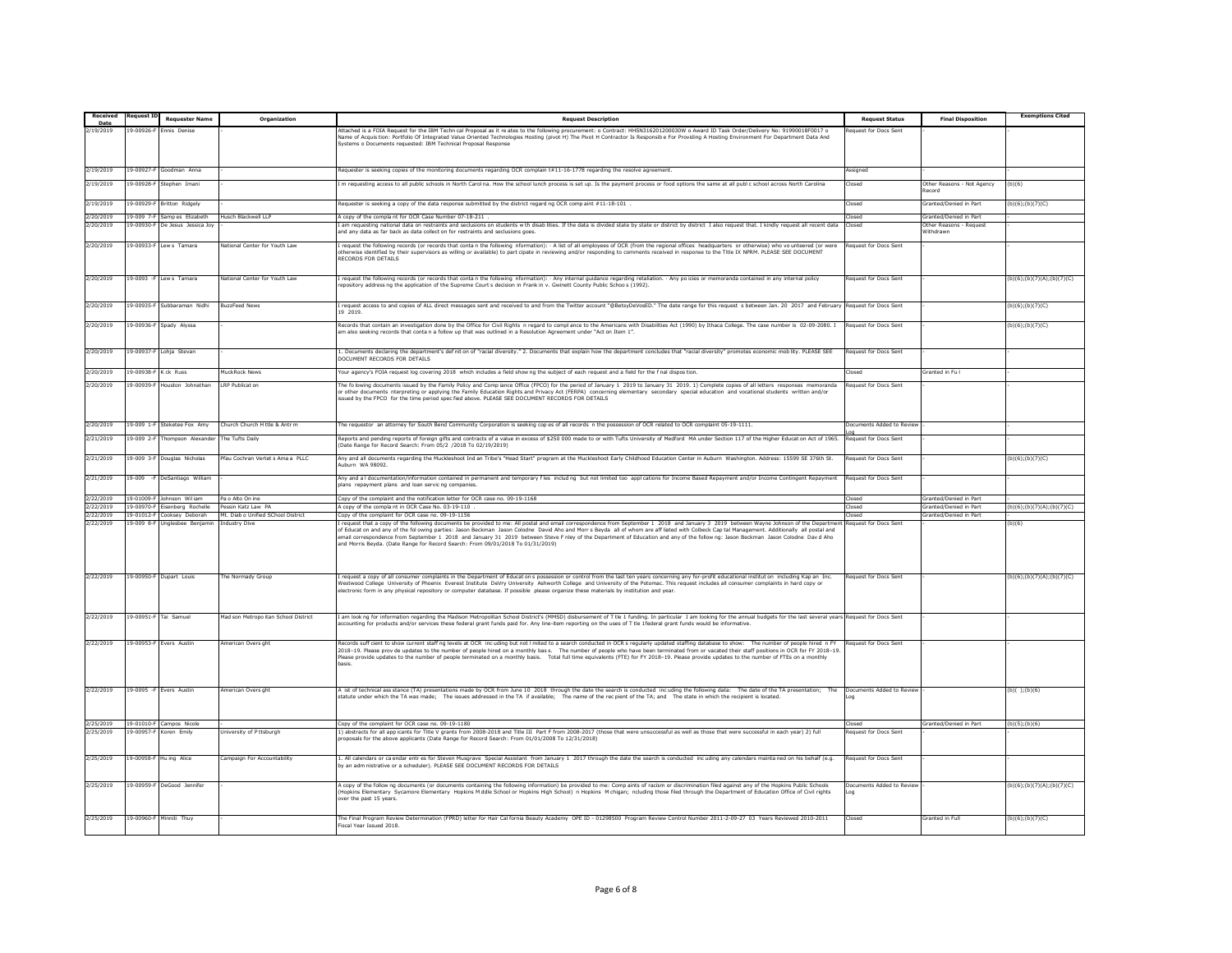| <b>Received</b><br>Date | eauest          | <b>Requester Name</b>       | Organization                         | <b>Request Descriptio</b>                                                                                                                                                                                                                                                                                                                                                                                                                                                                                                                                                                                                                                    | <b>Request Status</b>                | <b>Final Disposition</b>             | <b>Exemptions Cited</b>    |
|-------------------------|-----------------|-----------------------------|--------------------------------------|--------------------------------------------------------------------------------------------------------------------------------------------------------------------------------------------------------------------------------------------------------------------------------------------------------------------------------------------------------------------------------------------------------------------------------------------------------------------------------------------------------------------------------------------------------------------------------------------------------------------------------------------------------------|--------------------------------------|--------------------------------------|----------------------------|
| /19/2019                | 9-00926-        | nnis Denise                 |                                      | ttached is a FOIA Request for the IBM Techn cal Proposal as it re ates to the following procurement: o Contract: HHSN316201200030W o Award ID Task Order/Delivery No: 91990018F0017 o                                                                                                                                                                                                                                                                                                                                                                                                                                                                        | equest for Docs Sent                 |                                      |                            |
|                         |                 |                             |                                      | lame of Acquistion: Portfolio Of Integrated Value Oriented Technologies Hosting (pivot H) The Pivot H Contractor Is Responsibe For Providing A Hosting Environment For Department Data And<br>lystems o Documents requested: IBM Technical Proposal Response                                                                                                                                                                                                                                                                                                                                                                                                 |                                      |                                      |                            |
|                         |                 |                             |                                      |                                                                                                                                                                                                                                                                                                                                                                                                                                                                                                                                                                                                                                                              |                                      |                                      |                            |
|                         |                 |                             |                                      |                                                                                                                                                                                                                                                                                                                                                                                                                                                                                                                                                                                                                                                              |                                      |                                      |                            |
| 2/19/2019               | 19-00927-       | Soodman Anna                |                                      | Requester is seeking copies of the monitoring documents regarding OCR complain t#11-16-1778 regarding the resolve agreement.                                                                                                                                                                                                                                                                                                                                                                                                                                                                                                                                 | ssigned                              |                                      |                            |
| 2/19/2019               | 9-00928-F       | Stephen Imani               |                                      | m requesting access to all public schools in North Carol na. How the school lunch process is set up. Is the payment process or food options the same at all public school across North Carolina                                                                                                                                                                                                                                                                                                                                                                                                                                                              | losed                                | Other Reasons - Not Agency<br>lecord | (b)(6)                     |
| 2/19/2019               | 19-00929-F      | <b>Britton Ridgely</b>      |                                      | Requester is seeking a copy of the data response submitted by the district regard ng OCR comp aint #11-18-101                                                                                                                                                                                                                                                                                                                                                                                                                                                                                                                                                | Closed                               | Granted/Denied in Part               | $(b)(6)$ ; $(b)(7)(C)$     |
| 2/20/2019               | 19-009 7-F      | Samp es Elizabeth           | lusch Blackwell LLP                  | l copy of the complant for OCR Case Number 07-18-211 .                                                                                                                                                                                                                                                                                                                                                                                                                                                                                                                                                                                                       | losed:                               | Granted/Denied in Part               |                            |
| 2/20/2019               | $9 - 00930 - 6$ | e Jesus Jessica Jo          |                                      | am requesting national data on restraints and seclusions on students with disabilities. If the data is divided state by state or district by district I also request that. I kindly request all recent data                                                                                                                                                                                                                                                                                                                                                                                                                                                  |                                      | Other Reasons                        |                            |
|                         |                 |                             |                                      | ind any data as far back as data collect on for restraints and seclusions goes.                                                                                                                                                                                                                                                                                                                                                                                                                                                                                                                                                                              |                                      | <b>Nithdrawn</b>                     |                            |
| 2/20/2019               | 9-00933-F       | ew s Tamara                 | lational Center for Youth La         | request the following records (or records that conta n the following nformation): - A list of all employees of OCR (from the regional offices headquarters or otherwise) who vo unteered (or were<br>therwise identified by their supervisors as willing or available) to part cipate in reviewing and/or responding to comments received in response to the Title IX NPRM. PLEASE SEE DOCUMENT<br>RECORDS FOR DETAILS                                                                                                                                                                                                                                       | equest for Docs Sent                 |                                      |                            |
| 2/20/2019               |                 | 19-0093 -F Lews Tamara      | National Center for Youth Law        | request the following records (or records that conta n the following nformation): · Any internal guidance regarding retaliation. · Any po icies or memoranda contained in any internal policy<br>epository address no the application of the Supreme Court's decision in Frank in y. Gwinett County Public Schoo's (1992).                                                                                                                                                                                                                                                                                                                                   | equest for Docs Sent                 |                                      | (b)(6);(b)(7)(A);(b)(7)(C) |
| 2/20/2019               |                 | 19-00935-F Subbaraman Nidhi | <b>BuzzFeed News</b>                 | request access to and copies of ALL direct messages sent and received to and from the Twitter account "@BetsyDeVosED." The date range for this request is between Jan. 20 2017 and February<br>9 2019.                                                                                                                                                                                                                                                                                                                                                                                                                                                       | equest for Docs Sent                 |                                      | $(b)(6)$ ; $(b)(7)(C)$     |
| 2/20/2019               | $9 - 00936 - 8$ | Spady Alyssa                |                                      | lecords that contain an investigation done by the Office for Civil Rights n regard to complance to the Americans with Disabilities Act (1990) by Ithaca College. The case number is 02-09-2080. I<br>im also seeking records that conta n a follow up that was outlined in a Resolution Agreement under "Act on Item 1".                                                                                                                                                                                                                                                                                                                                     | equest for Docs Sent                 |                                      | (b)(6);(b)(7)(C)           |
| 2/20/2019               | 9-00937-F       | Lohja Stevan                |                                      | . Documents declaring the department's definition of "racial diversity." 2. Documents that explain how the department concludes that "racial diversity" promotes economic mobility. PLEASE SEE<br>OCUMENT RECORDS FOR DETAILS                                                                                                                                                                                                                                                                                                                                                                                                                                | equest for Docs Sent                 |                                      |                            |
| /20/2019                | $9 - 00938 -$   | Cck Russ                    | luckRock News                        | our agency's FOIA request log covering 2018 which includes a field show ng the subject of each request and a field for the f nal dispos tion.                                                                                                                                                                                                                                                                                                                                                                                                                                                                                                                | nsed                                 | Granted in Full                      |                            |
| 2/20/2019               | 19-00939-8      | louston Johnathan           | <b>LRP Publicat on</b>               | The fo lowing documents issued by the Family Policy and Comp iance Office (FPCO) for the period of January 1 2019 to January 31 2019. 1) Complete copies of all letters responses memoranda<br>or other documents nterpreting or applying the Family Education Rights and Privacy Act (FERPA) concerning elementary secondary special education and vocational students written and/or<br>ssued by the FPCO for the time period spec fied above. PLEASE SEE DOCUMENT RECORDS FOR DETAILS                                                                                                                                                                     | equest for Docs Sent                 |                                      |                            |
| 2/20/2019               | $-009$ 1-F      | Steketee Fox Amy            | Church Church H ttle & Antr m        | he requestor an attorney for South Bend Community Corporation is seeking copes of all records n the possession of OCR related to OCR complaint 05-19-1111.                                                                                                                                                                                                                                                                                                                                                                                                                                                                                                   | ocuments Added to Reviev             |                                      |                            |
| 2/21/2019               | 9-009 2-F       | 'hompson Alexander          | The Tufts Daily                      | Reports and pending reports of foreign gifts and contracts of a value in excess of \$250 000 made to or with Tufts University of Medford MA under Section 117 of the Higher Educat on Act of 1965.<br>Date Range for Record Search: From 05/2 /2018 To 02/19/2019)                                                                                                                                                                                                                                                                                                                                                                                           | equest for Docs Sent                 |                                      |                            |
| 2/21/2019               | $9 - 009$ 3-B   | ouglas Nicholas             | fau Cochran Vertet s Ama a PLLC      | ny and all documents regarding the Muckleshoot Ind an Tribe's "Head Start" program at the Muckleshoot Early Childhood Education Center in Auburn Washington. Address: 15599 SE 376th St.<br>uburn WA 98092.                                                                                                                                                                                                                                                                                                                                                                                                                                                  | equest for Docs Sent                 |                                      | b)(6);(b)(7)(C)            |
| 2/21/2019               | $9 - 009$       | DeSantiago William          |                                      | Iny and a I documentation/information contained in permanent and temporary fles including but not limited too appl cations for Income Based Repayment and/or Income Contingent Repayment<br>lans repayment plans and loan servic ng companies.                                                                                                                                                                                                                                                                                                                                                                                                               | equest for Docs Sent                 |                                      |                            |
| 2/22/2019               | 19-01009-F      | Johnson William             | Pa o Alto On ine                     | Copy of the complaint and the notification letter for OCR case no. 09-19-1168                                                                                                                                                                                                                                                                                                                                                                                                                                                                                                                                                                                | hezol                                | <b>Granted/Denied in Part</b>        |                            |
| /22/2019                | $9 - 00970 - 8$ | enberg Roch                 | essin Katz Law PA                    | copy of the complant in OCR Case No. 03-19-110                                                                                                                                                                                                                                                                                                                                                                                                                                                                                                                                                                                                               | osed                                 | iranted/Denied in Part               | b)(6);(b)(7)(A);(b)(7)(C)  |
| 2/22/2019               | 19-01012-       | ooksey Deborah              | Mt. Diab o Unified SChool District   | opy of the complaint for OCR case no. 09-19-1156                                                                                                                                                                                                                                                                                                                                                                                                                                                                                                                                                                                                             | hezoľ                                | Granted/Denied in Part               |                            |
| /22/2019                | 9-009 8-8       | nglesbee Benjami            | ndustry Div                          | request that a copy of the following documents be provided to me: All postal and email correspondence from September 1 2018 and January 3 2019 between Wayne Johnson of the Departm<br>of Educat on and any of the fol owing parties: Jason Beckman Jason Colodne David Aho and Morrs Beyda all of whom are aff liated with Colbeck Cap tal Management. Additionally all postal and<br>email correspondence from September 1 2018 and January 31 2019 between Steve F nley of the Department of Education and any of the follow ng: Jason Beckman Jason Colodne Dav d Aho<br>and Morris Beyda. (Date Range for Record Search: From 09/01/2018 To 01/31/2019) | equest for Docs Sen                  |                                      | b)(6)                      |
| 2/22/2019               | 19-00950-F      | Dupart Louis                | he Normady Group                     | request a copy of all consumer complaints in the Department of Education s possession or control from the last ten years concerning any for-profit educational institution including Kap an Inc.<br>Vestwood College University of Phoenix Everest Institute DeVry University Ashworth College and University of the Potomac. This request includes all consumer complaints in hard copy or<br>electronic form in any physical repository or computer database. If possible please organize these materials by institution and year.                                                                                                                         | lequest for Docs Sent                |                                      | (b)(6);(b)(7)(A);(b)(7)(C) |
| 2/22/2019               |                 | 19-00951-F Tai Samuel       | Mad son Metropo itan School District | I am look no for information regarding the Madison Metropolitan School District's (MMSD) disbursement of T tle 1 funding. In particular I am looking for the annual budgets for the last several vears Request for Docs Sent<br>ccounting for products and/or services these federal grant funds paid for. Any line-item reporting on the uses of T tie 1federal grant funds would be informative.                                                                                                                                                                                                                                                           |                                      |                                      |                            |
| 2/22/2019               |                 | 19-00953-F Evers Austin     | American Overs ght                   | Records sufficient to show current staff ng levels at OCR incuding but not I mited to a search conducted in OCR s regularly updated staffing database to show: The number of people hired in FY<br>2018-19. Please prov de updates to the number of people hired on a monthly bas s. The number of people who have been terminated from or vacated their staff positions in OCR for FY 2018-19<br>Please provide updates to the number of people terminated on a monthly basis. Total full time equivalents (FTE) for FY 2018-19. Please provide updates to the number of FTEs on a monthly<br>basis.                                                        | equest for Docs Sent                 |                                      |                            |
| 2/22/2019               |                 | 19-0095 -F Evers Austin     | American Overs ght                   | A ist of technical ass stance (TA) presentations made by OCR from June 10 2018 through the date the search is conducted incuding the following data: The date of the TA presentation;<br>The<br>statute under which the TA was made; The issues addressed in the TA if available; The name of the rec pient of the TA; and The state in which the recipient is located.                                                                                                                                                                                                                                                                                      | Documents Added to Review            |                                      | (b)();(b)(6)               |
| 2/25/2019               |                 | 19-01010-F Campos Nicole    |                                      | Copy of the complaint for OCR case no. 09-19-1180                                                                                                                                                                                                                                                                                                                                                                                                                                                                                                                                                                                                            | hezol <sup>n</sup>                   | Granted/Denied in Part               | (b)(5); (b)(6)             |
| 2/25/2019               | 9-00957-F       | Koren Emily                 | niversity of P ttsburgl              | 1) abstracts for all app icants for Title V grants from 2008-2018 and Title III Part F from 2008-2017 (those that were unsuccessful as well as those that were successful in each year) 2) full<br>roposals for the above applicants (Date Range for Record Search: From 01/01/2008 To 12/31/2018)                                                                                                                                                                                                                                                                                                                                                           | equest for Docs Sent                 |                                      |                            |
| 2/25/2019               | 9-00958-F       | Hu ing Alice                | ampaign For Accountability           | . All calendars or ca endar entres for Steven Musgrave Special Assistant from January 1 2017 through the date the search is conducted incuding any calendars mainta ned on his behalf (e.g.<br>y an adm nistrative or a scheduler). PLEASE SEE DOCUMENT RECORDS FOR DETAILS                                                                                                                                                                                                                                                                                                                                                                                  | equest for Docs Sent                 |                                      |                            |
| 2/25/2019               | 19-00959-1      | DeGood Jennife              |                                      | k copy of the follow ng documents (or documents containing the following information) be provided to me: Comp aints of racism or discrimination filed against any of the Hopkins Public Schools<br>Hopkins Elementary Sycamore Elementary Hopkins M ddle School or Hopkins High School) n Hopkins M chigan; ncluding those filed through the Department of Education Office of Civil rights<br>ver the past 15 years.                                                                                                                                                                                                                                        | ocuments Added to Revie<br><b>DO</b> |                                      | (b)(6);(b)(7)(A);(b)(7)(C) |
| 2/25/2019               | 19-00960-F      | Minniti Thuy                |                                      | The Final Program Review Determination (FPRD) letter for Hair Cal fornia Beauty Academy OPE ID - 01298500 Program Review Control Number 2011-2-09-27 03 Years Reviewed 2010-2011<br>iscal Year Issued 2018                                                                                                                                                                                                                                                                                                                                                                                                                                                   | losed                                | Granted in Full                      | (b)(6); (b)(7)(C)          |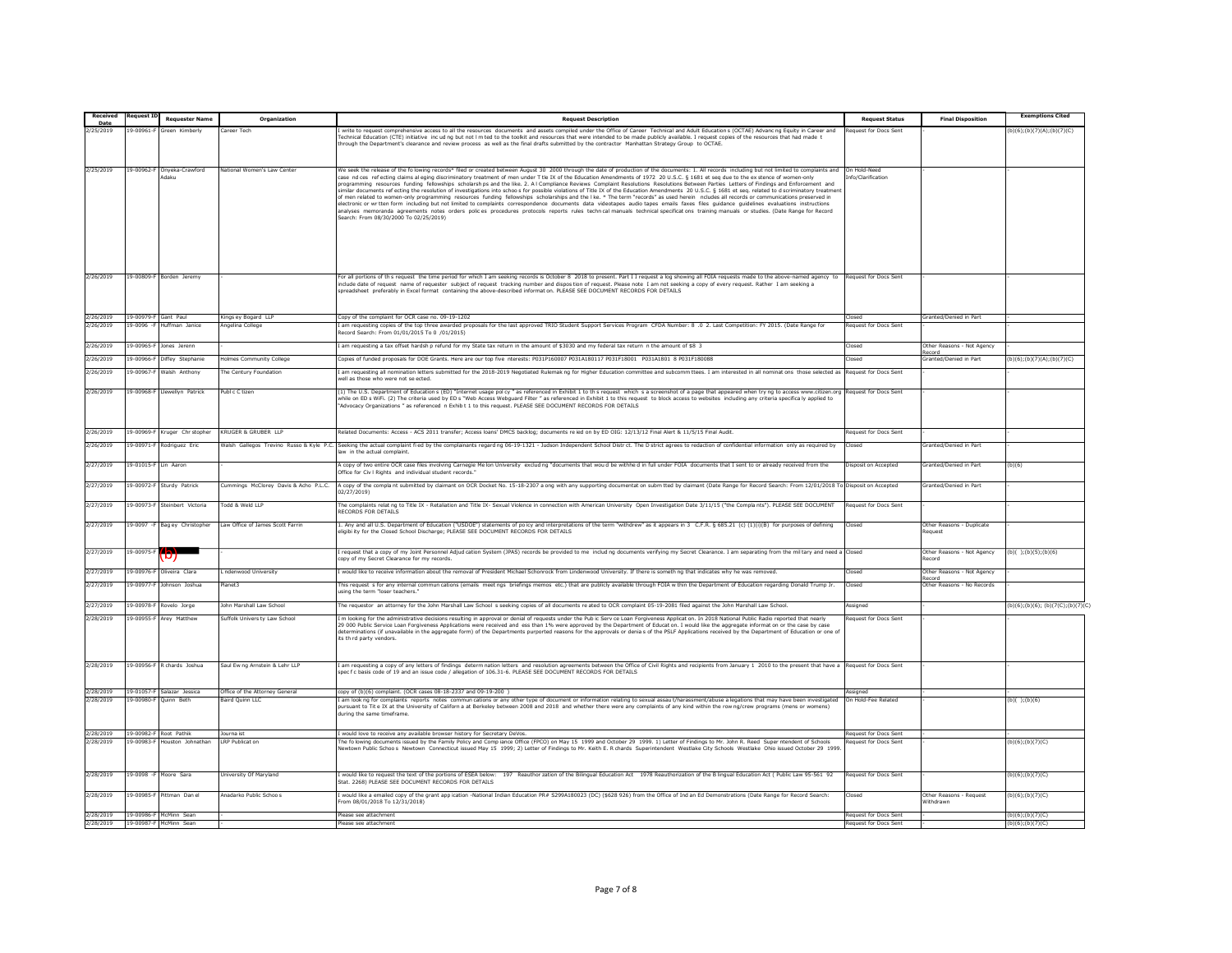| Received               | equest :                 | <b>Requester Name</b>      | Organization                             | <b>Request Description</b>                                                                                                                                                                                                                                                                                                                                                                                                                                                                                                                                                                                                                                                                                                                                                                                                                                                                                                                                                                                                                                                                                                                                                                                                                                                                                                                                                                                           | <b>Request Status</b>                                 | <b>Final Disposition</b>             | <b>Exemptions Cited</b>            |
|------------------------|--------------------------|----------------------------|------------------------------------------|----------------------------------------------------------------------------------------------------------------------------------------------------------------------------------------------------------------------------------------------------------------------------------------------------------------------------------------------------------------------------------------------------------------------------------------------------------------------------------------------------------------------------------------------------------------------------------------------------------------------------------------------------------------------------------------------------------------------------------------------------------------------------------------------------------------------------------------------------------------------------------------------------------------------------------------------------------------------------------------------------------------------------------------------------------------------------------------------------------------------------------------------------------------------------------------------------------------------------------------------------------------------------------------------------------------------------------------------------------------------------------------------------------------------|-------------------------------------------------------|--------------------------------------|------------------------------------|
| Date<br>2/25/2019      | 3-00961-                 |                            |                                          |                                                                                                                                                                                                                                                                                                                                                                                                                                                                                                                                                                                                                                                                                                                                                                                                                                                                                                                                                                                                                                                                                                                                                                                                                                                                                                                                                                                                                      | quest for Docs Sent                                   |                                      |                                    |
|                        |                          | reen Kimber                | Career Tech                              | write to request comprehensive access to all the resources documents and assets compiled under the Office of Career Technical and Adult Education s (OCTAE) Advanc ng Equity in Career and<br>echnical Education (CTE) initiative incud no but not Im ted to the toolkit and resources that were intended to be made publicly available. I request copies of the resources that had made t<br>irough the Department's clearance and review process as well as the final drafts submitted by the contractor Manhattan Strategy Group to OCTAE.                                                                                                                                                                                                                                                                                                                                                                                                                                                                                                                                                                                                                                                                                                                                                                                                                                                                        |                                                       |                                      | b)(6);(b)(7)(A);(b)(7)(C)          |
| 2/25/2019              | 19-00962-F               | Onveka-Crawford<br>daku    | lational Women's Law Center              | We seek the release of the folowing records* filed or created between August 30 2000 through the date of production of the documents: 1. All records including but not limited to complaints and<br>case nd ces refecting claims al eging discriminatory treatment of men under T tle IX of the Education Amendments of 1972 20 U.S.C. § 1681 et seq due to the ex stence of women-only<br>programming resources funding fellowships scholarsh ps and the like. 2. A I Compliance Reviews Complaint Resolutions Resolutions Between Parties Letters of Findings and Enforcement and<br>similar documents refecting the resolution of investigations into schoo s for possible violations of Title IX of the Education Amendments 20 U.S.C. § 1681 et seq. related to d scriminatory treatmen<br>of men related to women-only programming resources funding fellowships scholarships and the I ke. * The term "records" as used herein ncludes all records or communications preserved in<br>lectronic or wr tten form including but not limited to complaints correspondence documents data videotapes audio tapes emails faxes files quidance quidelines evaluations instructions<br>analyses memoranda agreements notes orders polices procedures protocols reports rules techn cal manuals technical specifications training manuals or studies. (Date Range for Record<br>Search: From 08/30/2000 To 02/25/2019) | On Hold-Need<br>fo/Clarification                      |                                      |                                    |
|                        |                          |                            |                                          |                                                                                                                                                                                                                                                                                                                                                                                                                                                                                                                                                                                                                                                                                                                                                                                                                                                                                                                                                                                                                                                                                                                                                                                                                                                                                                                                                                                                                      |                                                       |                                      |                                    |
| 2/26/2019              |                          | 19-00809-F Borden Jeremy   |                                          | For all portions of th s request the time period for which I am seeking records is October 8 2018 to present. Part I I request a log showing all FOIA requests made to the above-named agency to<br>include date of request name of requester subject of request tracking number and dispostion of request. Please note I am not seeking a copy of every request. Rather I am seeking a<br>spreadsheet preferably in Excel format containing the above-described information. PLEASE SEE DOCUMENT RECORDS FOR DETAILS                                                                                                                                                                                                                                                                                                                                                                                                                                                                                                                                                                                                                                                                                                                                                                                                                                                                                                | Request for Docs Sent                                 |                                      |                                    |
| 2/26/2019              | 19-00979-F Gant Paul     |                            | Kings ev Bogard LLP                      | Copy of the complaint for OCR case no. 09-19-1202                                                                                                                                                                                                                                                                                                                                                                                                                                                                                                                                                                                                                                                                                                                                                                                                                                                                                                                                                                                                                                                                                                                                                                                                                                                                                                                                                                    | hezol <sup>"</sup>                                    | Granted/Denied in Part               |                                    |
| 2/26/2019              | 19-0096 - F              | Huffman Janice             | Angelina College                         | am requesting copies of the top three awarded proposals for the last approved TRIO Student Support Services Program CFDA Number: 8 .0 2. Last Competition: FY 2015. (Date Range for<br>ecord Search: From 01/01/2015 To 0 /01/2015)                                                                                                                                                                                                                                                                                                                                                                                                                                                                                                                                                                                                                                                                                                                                                                                                                                                                                                                                                                                                                                                                                                                                                                                  | Request for Docs Sent                                 |                                      |                                    |
| 2/26/2019              | $9 - 00965$              | Jones Jerenn               |                                          | am requesting a tax offset hardsh p refund for my State tax return in the amount of \$3030 and my federal tax return n the amount of \$8 3                                                                                                                                                                                                                                                                                                                                                                                                                                                                                                                                                                                                                                                                                                                                                                                                                                                                                                                                                                                                                                                                                                                                                                                                                                                                           | Closec                                                | Other Reasons - Not Agency<br>ecord  |                                    |
| 2/26/2019              | $9 - 00966 - 1$          | Diffey Stephanie           | <b>Iolmes Community College</b>          | opies of funded proposals for DOE Grants. Here are our top five nterests: P031P160007 P031A180117 P031F18001 P031A1801 8 P031F180088                                                                                                                                                                                                                                                                                                                                                                                                                                                                                                                                                                                                                                                                                                                                                                                                                                                                                                                                                                                                                                                                                                                                                                                                                                                                                 | <b>losed</b>                                          | Granted/Denied in Part               | b)(6); (b)(7)(A); (b)(7)(C)        |
| 2/26/2019              | $9 - 00967$              | Walsh Anthony              | he Century Foundation                    | am requesting all nomination letters submitted for the 2018-2019 Negotiated Rulemak ng for Higher Education committee and subcomm ttees. I am interested in all nominat ons those selected as<br>vell as those who were not se ected.                                                                                                                                                                                                                                                                                                                                                                                                                                                                                                                                                                                                                                                                                                                                                                                                                                                                                                                                                                                                                                                                                                                                                                                | <b>Request for Docs Sent</b>                          |                                      |                                    |
| 2/26/2019              | $9 - 00968 - 1$          | lewellyn Patrick           | Publ c C tizen                           | [1] The U.S. Department of Education s (ED) "Internet usage polcy " as referenced in Exhibit 1 to th s request which s a screenshot of a page that appeared when try ng to access www.citizen.org<br>while on ED s WiFi. (2) The criteria used by ED s "Web Access Webguard Filter " as referenced in Exhibit 1 to this request to block access to websites including any criteria specifica ly applied to<br>"Advocacy Organizations " as referenced n Exhib t 1 to this request. PLEASE SEE DOCUMENT RECORDS FOR DETAILS                                                                                                                                                                                                                                                                                                                                                                                                                                                                                                                                                                                                                                                                                                                                                                                                                                                                                           | Request for Docs Sent                                 |                                      |                                    |
| 2/26/2019              | 9-00969                  | Kruger Chr stophe          | <b>RUGER &amp; GRUBER LLF</b>            | elated Documents: Access - ACS 2011 transfer; Access loans' DMCS backlog; documents reied on by ED OIG: 12/13/12 Final Alert & 11/5/15 Final Audit.                                                                                                                                                                                                                                                                                                                                                                                                                                                                                                                                                                                                                                                                                                                                                                                                                                                                                                                                                                                                                                                                                                                                                                                                                                                                  | equest for Docs Sent                                  |                                      |                                    |
| 2/26/2019              | 9-00971-F                | Rodriguez Eric             | Walsh Gallegos Trevino Russo & Kyle P.C. | Seeking the actual complaint fied by the complainants regard ng 06-19-1321 - Judson Independent School Distr ct. The D strict agrees to redaction of confidential information only as required by<br>w in the actual complaint.                                                                                                                                                                                                                                                                                                                                                                                                                                                                                                                                                                                                                                                                                                                                                                                                                                                                                                                                                                                                                                                                                                                                                                                      | hezol <sup>*</sup>                                    | Granted/Denied in Part               |                                    |
| 2/27/2019              | $9 - 01015 -$            | in Aaron                   |                                          | copy of two entire OCR case files involving Carnegie Me lon University exclud ng "documents that wou d be withhed in full under FOIA documents that I sent to or already received from the<br>Iffice for Civ I Rights and individual student records.                                                                                                                                                                                                                                                                                                                                                                                                                                                                                                                                                                                                                                                                                                                                                                                                                                                                                                                                                                                                                                                                                                                                                                | Disposit on Accepted                                  | Granted/Denied in Part               |                                    |
| 2/27/2019              | $9 - 00972 - 8$          | Sturdy Patrick             | Cummings McClorey Davis & Acho P.L.C.    | A copy of the compla nt submitted by claimant on OCR Docket No. 15-18-2307 a ong with any supporting documentat on subm tted by claimant (Date Range for Record Search: From 12/01/2018 To<br>2/27/2019)                                                                                                                                                                                                                                                                                                                                                                                                                                                                                                                                                                                                                                                                                                                                                                                                                                                                                                                                                                                                                                                                                                                                                                                                             | Disposit on Accepted                                  | Granted/Denied in Part               |                                    |
| 2/27/2019              | 9-00973-                 | Steinhert Victoria         | Todd & Weld LLP                          | The complaints relat ng to Title IX - Retaliation and Title IX- Sexual Violence in connection with American University Open Investigation Date 3/11/15 ("the Compla nts"). PLEASE SEE DOCUMENT<br>ECORDS FOR DETAILS                                                                                                                                                                                                                                                                                                                                                                                                                                                                                                                                                                                                                                                                                                                                                                                                                                                                                                                                                                                                                                                                                                                                                                                                 | Request for Docs Sent                                 |                                      |                                    |
| 2/27/2019              | $9 - 0097 -$             | Bag ey Christopher         | Law Office of James Scott Farrin         | . Any and all U.S. Department of Education ("USDOE") statements of poicy and interpretations of the term "withdrew" as it appears in 3 C.F.R. § 685.21 (c) (1)(i)(B) for purposes of defining<br>ligibi ity for the Closed School Discharge; PLEASE SEE DOCUMENT RECORDS FOR DETAILS                                                                                                                                                                                                                                                                                                                                                                                                                                                                                                                                                                                                                                                                                                                                                                                                                                                                                                                                                                                                                                                                                                                                 | Closed                                                | Other Reasons - Duplicate<br>Request |                                    |
| 2/27/2019              | $-00975-$                |                            |                                          | request that a copy of my Joint Personnel Adjud cation System (JPAS) records be provided to me includ ng documents verifying my Secret Clearance. I am separating from the military and need a<br>py of my Secret Clearance for my records                                                                                                                                                                                                                                                                                                                                                                                                                                                                                                                                                                                                                                                                                                                                                                                                                                                                                                                                                                                                                                                                                                                                                                           | Closec                                                | Other Reasons - Not Agency<br>ecord  | $(b)( )$ ; (b)(5); (b)(6)          |
| 2/27/2019              | 9-00976-                 | Oliveira Clara             | . ndenwood University                    | would like to receive information about the removal of President Michael Schonrock from Lindenwood University. If there is someth ng that indicates why he was removed.                                                                                                                                                                                                                                                                                                                                                                                                                                                                                                                                                                                                                                                                                                                                                                                                                                                                                                                                                                                                                                                                                                                                                                                                                                              | Closed                                                | Other Reasons - Not Agency           |                                    |
| 2/27/2019              | 9-00977-F                | Johnson Joshua             | Planet3                                  | his request s for any internal commun cations (emails meet ngs briefings memos etc.) that are publicly available through FOIA w thin the Department of Education regarding Donald Trump Jr.<br>sing the term "loser teachers."                                                                                                                                                                                                                                                                                                                                                                                                                                                                                                                                                                                                                                                                                                                                                                                                                                                                                                                                                                                                                                                                                                                                                                                       | Closed                                                | ecord<br>Other Reasons - No Records  |                                    |
| 2/27/2019              | $9 - 00978 -$            | Rovelo Jorge               | ohn Marshall Law Schoo                   | he requestor an attorney for the John Marshall Law School s seeking copies of all documents re ated to OCR complaint 05-19-2081 filed against the John Marshall Law School.                                                                                                                                                                                                                                                                                                                                                                                                                                                                                                                                                                                                                                                                                                                                                                                                                                                                                                                                                                                                                                                                                                                                                                                                                                          | <i><b>Issianec</b></i>                                |                                      | b)(6):(b)(6): (b)(7(C):(b)(7)(0    |
| 2/28/2019              | 19-00955-F               | Arey Matthew               | Suffolk Univers ty Law School            | m looking for the administrative decisions resulting in approval or denial of requests under the Pub ic Serv ce Loan Forgiveness Applicat on. In 2018 National Public Radio reported that nearly<br>29 000 Public Service Loan Forgiveness Applications were received and ess than 1% were approved by the Department of Education. I would like the aggregate information or the case by case<br>eterminations (if unavailable in the aggregate form) of the Departments purported reasons for the approvals or denia s of the PSLF Applications received by the Department of Education or one of<br>its th rd party vendors.                                                                                                                                                                                                                                                                                                                                                                                                                                                                                                                                                                                                                                                                                                                                                                                      | equest for Docs Sent                                  |                                      |                                    |
| 2/28/2019              | 9-00956-                 | chards Joshua              | Saul Ew ng Arnstein & Lehr LLF           | am requesting a copy of any letters of findings determ nation letters and resolution agreements between the Office of Civil Rights and recipients from January 1 2010 to the present that have a<br>pec f c basis code of 19 and an issue code / allegation of 106.31-6. PLEASE SEE DOCUMENT RECORDS FOR DETAILS                                                                                                                                                                                                                                                                                                                                                                                                                                                                                                                                                                                                                                                                                                                                                                                                                                                                                                                                                                                                                                                                                                     | Request for Docs Sen                                  |                                      |                                    |
| 2/28/2019              |                          | 19-01057-F Salazar Jessica | Office of the Attorney General           | copy of (b)(6) complaint. (OCR cases 08-18-2337 and 09-19-200 )                                                                                                                                                                                                                                                                                                                                                                                                                                                                                                                                                                                                                                                                                                                                                                                                                                                                                                                                                                                                                                                                                                                                                                                                                                                                                                                                                      | ssianed                                               |                                      |                                    |
| 2/28/2019              | 19-00980-F               | Ouinn Beth                 | Baird Ouinn LLC                          | am look ng for complaints reports notes commun cations or any other type of document or information relating to sexual assau t/harassment/abuse a legations that may have been investigated<br>ursuant to Tit e IX at the University of Californ a at Berkeley between 2008 and 2018 and whether there were any complaints of any kind within the row ng/crew programs (mens or womens)<br>during the same timeframe.                                                                                                                                                                                                                                                                                                                                                                                                                                                                                                                                                                                                                                                                                                                                                                                                                                                                                                                                                                                                | On Hold-Fee Related                                   |                                      | $(b)( )$ ; (b)(6)                  |
| 2/28/2019              | 19-00982-F               | Root Pathik                | ourna ist                                | would love to receive any available browser history for Secretary DeVos.                                                                                                                                                                                                                                                                                                                                                                                                                                                                                                                                                                                                                                                                                                                                                                                                                                                                                                                                                                                                                                                                                                                                                                                                                                                                                                                                             | <b>Request for Docs Sent</b>                          |                                      |                                    |
| 1/28/2019              | 00983-                   | puston Johnathar           | RP Publicat on                           | he fo lowing documents issued by the Family Policy and Comp lance Office (FPCO) on May 15 1999 and October 29 1999. 1) Letter of Findings to Mr. John R. Reed Super ntendent of Schools<br>ewtown Public Schoos Newtown Connecticut issued May 15 1999; 2) Letter of Findings to Mr. Keith E. R chards Superintendent Westlake City Schools Westlake Ohio issued October 29 1999.                                                                                                                                                                                                                                                                                                                                                                                                                                                                                                                                                                                                                                                                                                                                                                                                                                                                                                                                                                                                                                    | equest for Docs Sent                                  |                                      | $b)(6)$ ; (b)(7)(C)                |
| 2/28/2019              | 19-0098 -F               | Moore Sara                 | <b>Jniversity Of Maryland</b>            | would like to request the text of the portions of ESEA below: 197 Reauthor zation of the Bilingual Education Act 1978 Reauthorization of the B lingual Education Act ( Public Law 95-561 92<br>Stat. 2268) PLEASE SEE DOCUMENT RECORDS FOR DETAILS                                                                                                                                                                                                                                                                                                                                                                                                                                                                                                                                                                                                                                                                                                                                                                                                                                                                                                                                                                                                                                                                                                                                                                   | Request for Docs Sent                                 |                                      | (b)(6); (b)(7)(C)                  |
| 2/28/2019              | $9 - 00985 -$            | ittman Dan el              | nadarko Public Schoos                    | would like a emailed copy of the grant app ication -National Indian Education PR# S299A180023 (DC) (\$628 926) from the Office of Ind an Ed Demonstrations (Date Range for Record Search:<br>rom 08/01/2018 To 12/31/2018)                                                                                                                                                                                                                                                                                                                                                                                                                                                                                                                                                                                                                                                                                                                                                                                                                                                                                                                                                                                                                                                                                                                                                                                           | losed                                                 | Other Reasons - Request<br>Withdrawn | (b)(6); (b)(7)(C)                  |
| 2/28/2019<br>2/28/2019 | 19-00986-F<br>19-00987-F | McMinn Sean<br>McMinn Sear |                                          | lease see attachment<br>lease see attachment                                                                                                                                                                                                                                                                                                                                                                                                                                                                                                                                                                                                                                                                                                                                                                                                                                                                                                                                                                                                                                                                                                                                                                                                                                                                                                                                                                         | Request for Docs Sent<br><b>Request for Docs Sent</b> |                                      | b)(6):(b)(7)(C)<br>b)(6):(b)(7)(C) |
|                        |                          |                            |                                          |                                                                                                                                                                                                                                                                                                                                                                                                                                                                                                                                                                                                                                                                                                                                                                                                                                                                                                                                                                                                                                                                                                                                                                                                                                                                                                                                                                                                                      |                                                       |                                      |                                    |